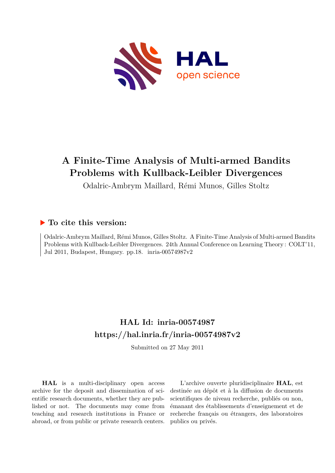

# **A Finite-Time Analysis of Multi-armed Bandits Problems with Kullback-Leibler Divergences**

Odalric-Ambrym Maillard, Rémi Munos, Gilles Stoltz

# **To cite this version:**

Odalric-Ambrym Maillard, Rémi Munos, Gilles Stoltz. A Finite-Time Analysis of Multi-armed Bandits Problems with Kullback-Leibler Divergences. 24th Annual Conference on Learning Theory : COLT'11, Jul 2011, Budapest, Hungary. pp.18. inria-00574987v2

# **HAL Id: inria-00574987 <https://hal.inria.fr/inria-00574987v2>**

Submitted on 27 May 2011

**HAL** is a multi-disciplinary open access archive for the deposit and dissemination of scientific research documents, whether they are published or not. The documents may come from teaching and research institutions in France or abroad, or from public or private research centers.

L'archive ouverte pluridisciplinaire **HAL**, est destinée au dépôt et à la diffusion de documents scientifiques de niveau recherche, publiés ou non, émanant des établissements d'enseignement et de recherche français ou étrangers, des laboratoires publics ou privés.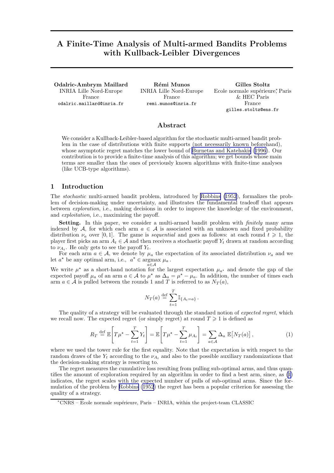## <span id="page-1-0"></span>A Finite-Time Analysis of Multi-armed Bandits Problems with Kullback-Leibler Divergences

Odalric-Ambrym Maillard INRIA Lille Nord-Europe France odalric.maillard@inria.fr

Rémi Munos INRIA Lille Nord-Europe France remi.munos@inria.fr

Gilles Stoltz Ecole normale supérieure; Paris & HEC Paris France gilles.stoltz@ens.fr

#### Abstract

We consider a Kullback-Leibler-based algorithm for the stochastic multi-armed bandit problem in the case of distributions with finite supports (not necessarily known beforehand), whose asymptotic regret matches the lower bound of [Burnetas and Katehakis](#page-14-0) ([1996](#page-14-0)). Our contribution is to provide a finite-time analysis of this algorithm; we get bounds whose main terms are smaller than the ones of previously known algorithms with finite-time analyses (like UCB-type algorithms).

#### 1 Introduction

The *stochastic* multi-armed bandit problem, introduced by [Robbins \(1952](#page-14-0)), formalizes the problem of decision-making under uncertainty, and illustrates the fundamental tradeoff that appears between *exploration*, i.e., making decisions in order to improve the knowledge of the environment, and *exploitation*, i.e., maximizing the payoff.

Setting. In this paper, we consider a multi-armed bandit problem with *finitely* many arms indexed by A, for which each arm  $a \in A$  is associated with an unknown and fixed probability distribution  $\nu_a$  over [0, 1]. The game is *sequential* and goes as follows: at each round  $t \geq 1$ , the player first picks an arm  $A_t \in \mathcal{A}$  and then receives a stochastic payoff  $Y_t$  drawn at random according to  $\nu_{A_t}$ . He only gets to see the payoff  $Y_t$ .

For each arm  $a \in \mathcal{A}$ , we denote by  $\mu_a$  the expectation of its associated distribution  $\nu_a$  and we let  $a^*$  be any optimal arm, i.e.,  $a^* \in \text{argmax } \mu_a$ .

a∈A We write  $\mu^*$  as a short-hand notation for the largest expectation  $\mu_{a^*}$  and denote the gap of the expected payoff  $\mu_a$  of an arm  $a \in \mathcal{A}$  to  $\mu^*$  as  $\Delta_a = \mu^* - \mu_a$ . In addition, the number of times each arm  $a \in \mathcal{A}$  is pulled between the rounds 1 and T is referred to as  $N_T(a)$ ,

$$
N_T(a) \stackrel{\text{def}}{=} \sum_{t=1}^T \mathbb{I}_{\{A_t = a\}}.
$$

The quality of a strategy will be evaluated through the standard notion of *expected regret*, which we recall now. The expected regret (or simply regret) at round  $T \geq 1$  is defined as

$$
R_T \stackrel{\text{def}}{=} \mathbb{E}\left[T\mu^\star - \sum_{t=1}^T Y_t\right] = \mathbb{E}\left[T\mu^\star - \sum_{t=1}^T \mu_{A_t}\right] = \sum_{a \in \mathcal{A}} \Delta_a \mathbb{E}\left[N_T(a)\right],\tag{1}
$$

where we used the tower rule for the first equality. Note that the expectation is with respect to the random draws of the  $Y_t$  according to the  $\nu_{A_t}$  and also to the possible auxiliary randomizations that the decision-making strategy is resorting to.

The regret measures the cumulative loss resulting from pulling sub-optimal arms, and thus quantifies the amount of exploration required by an algorithm in order to find a best arm, since, as (1) indicates, the regret scales with the expected number of pulls of sub-optimal arms. Since the formulation of the problem by [Robbins \(1952](#page-14-0)) the regret has been a popular criterion for assessing the quality of a strategy.

 $*<sup>*</sup>CNRS - École normale supérieure, Paris - INRIA, within the project-team CLASSIC$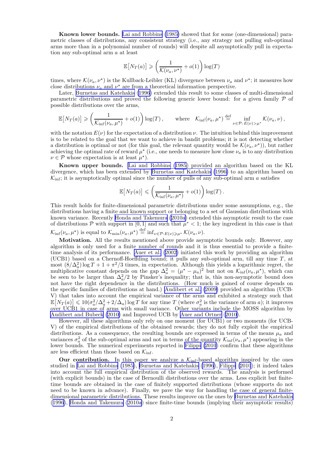Known lower bounds. [Lai and Robbins \(1985\)](#page-14-0) showed that for some (one-dimensional) parametric classes of distributions, any consistent strategy (i.e., any strategy not pulling sub-optimal arms more than in a polynomial number of rounds) will despite all asymptotically pull in expectation any sub-optimal arm a at least

$$
\mathbb{E}\!\left[N_T(a)\right]\geqslant\left(\frac{1}{\mathcal{K}(\nu_a,\nu^\star)}+o(1)\right)\log(T)
$$

times, where  $\mathcal{K}(\nu_a, \nu^*)$  is the Kullback-Leibler (KL) divergence between  $\nu_a$  and  $\nu^*$ ; it measures how close distributions  $\nu_a$  and  $\nu^*$  are from a theoretical information perspective.

Later, [Burnetas and Katehakis \(1996](#page-14-0)) extended this result to some classes of multi-dimensional parametric distributions and proved the following generic lower bound: for a given family  $\mathcal P$  of possible distributions over the arms,

$$
\mathbb{E}\big[N_T(a)\big] \geqslant \left(\frac{1}{\mathcal{K}_{\inf}(\nu_a,\mu^*)}+o(1)\right)\log(T)\,,\qquad\text{where}\quad \mathcal{K}_{\inf}(\nu_a,\mu^*)\stackrel{\text{def}}{=}\inf_{\nu\in\mathcal{P}:\,E(\nu)>\mu^*}\mathcal{K}(\nu_a,\nu)\,,
$$

with the notation  $E(\nu)$  for the expectation of a distribution  $\nu$ . The intuition behind this improvement is to be related to the goal that we want to achieve in bandit problems; it is not detecting whether a distribution is optimal or not (for this goal, the relevant quantity would be  $\mathcal{K}(\nu_a, \nu^*)$ ), but rather achieving the optimal rate of reward  $\mu^*$  (i.e., one needs to measure how close  $\nu_a$  is to any distribution  $\nu \in \mathcal{P}$  whose expectation is at least  $\mu^*$ ).

Known upper bounds. [Lai and Robbins \(1985](#page-14-0)) provided an algorithm based on the KL divergence, which has been extended by [Burnetas and Katehakis \(1996\)](#page-14-0) to an algorithm based on  $\mathcal{K}_{\text{inf}}$ ; it is asymptotically optimal since the number of pulls of any sub-optimal arm a satisfies

$$
\mathbb{E}\big[N_T(a)\big] \leqslant \left(\frac{1}{\mathcal{K}_{\inf}(\nu_a,\mu^\star)}+o(1)\right)\log(T).
$$

This result holds for finite-dimensional parametric distributions under some assumptions, e.g., the distributions having a finite and known support or belonging to a set of Gaussian distributions with known variance. Recently [Honda and Takemura](#page-14-0) ([2010a](#page-14-0)) extended this asymptotic result to the case of distributions  $P$  with support in [0, 1] and such that  $\mu^* < 1$ ; the key ingredient in this case is that

 $\mathcal{K}_{\text{inf}}(\nu_a, \mu^*)$  is equal to  $\mathcal{K}_{\text{min}}(\nu_a, \mu^*) \stackrel{\text{def}}{=} \text{inf}_{\nu \in \mathcal{P}: E(\nu) \geq \mu^*} \mathcal{K}(\nu_a, \nu).$ 

Motivation. All the results mentioned above provide asymptotic bounds only. However, any algorithm is only used for a finite number of rounds and it is thus essential to provide a finitetime analysis of its performance. [Auer et al. \(2002\)](#page-14-0) initiated this work by providing an algorithm (UCB1) based on a Chernoff-Hoeffding bound; it pulls any sub-optimal arm, till any time  $T$ , at most  $(8/\Delta_a^2)$  log  $T + 1 + \pi^2/3$  times, in expectation. Although this yields a logarithmic regret, the multiplicative constant depends on the gap  $\Delta_a^2 = (\mu^* - \mu_a)^2$  but not on  $\mathcal{K}_{\text{inf}}(\nu_a, \mu^*)$ , which can be seen to be larger than  $\Delta_a^2/2$  by Pinsker's inequality; that is, this non-asymptotic bound does not have the right dependence in the distributions. (How much is gained of course depends on the specific families of distributions at hand.) [Audibert et al. \(2009\)](#page-14-0) provided an algorithm (UCB-V) that takes into account the empirical variance of the arms and exhibited a strategy such that  $\mathbb{E}\left[N_T(a)\right] \leqslant 10(\sigma_a^2/\Delta_a^2 + 2/\Delta_a)\log T$  for any time T (where  $\sigma_a^2$  is the variance of arm a); it improves over UCB1 in case of arms with small variance. Other variants include the MOSS algorithm by [Audibert and Bubeck \(2010\)](#page-14-0) and Improved UCB by [Auer and Ortner](#page-14-0) ([2010\)](#page-14-0).

However, all these algorithms only rely on one moment (for UCB1) or two moments (for UCB-V) of the empirical distributions of the obtained rewards; they do not fully exploit the empirical distributions. As a consequence, the resulting bounds are expressed in terms of the means  $\mu_a$  and variances  $\sigma_a^2$  of the sub-optimal arms and not in terms of the quantity  $\mathcal{K}_{\text{inf}}(\nu_a, \mu^*)$  appearing in the lower bounds. The numerical experiments reported in [Filippi \(2010](#page-14-0)) confirm that these algorithms are less efficient than those based on  $\mathcal{K}_{\text{inf}}$ .

**Our contribution.** In this paper we analyze a  $\mathcal{K}_{\text{inf}}$ -based algorithm inspired by the ones studied in [Lai and Robbins \(1985\)](#page-14-0), [Burnetas and Katehakis \(1996](#page-14-0)), [Filippi \(2010](#page-14-0)); it indeed takes into account the full empirical distribution of the observed rewards. The analysis is performed (with explicit bounds) in the case of Bernoulli distributions over the arms. Less explicit but finitetime bounds are obtained in the case of finitely supported distributions (whose supports do not need to be known in advance). Finally, we pave the way for handling the case of general finitedimensional parametric distributions. These results improve on the ones by [Burnetas and Katehakis](#page-14-0) ([1996\)](#page-14-0), [Honda and Takemura \(2010a](#page-14-0)) since finite-time bounds (implying their asymptotic results)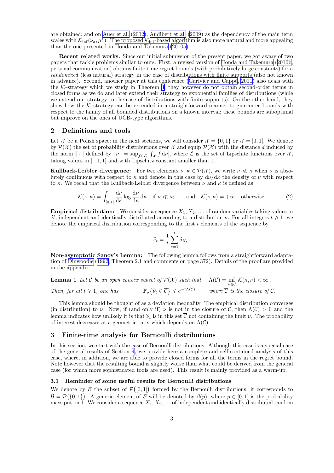<span id="page-3-0"></span>are obtained; and on [Auer et al.](#page-14-0) ([2002\)](#page-14-0), [Audibert et al. \(2009](#page-14-0)) as the dependency of the main term scales with  $\mathcal{K}_{\text{inf}}(\nu_a, \mu^*)$ . The proposed  $\mathcal{K}_{\text{inf}}$ -based algorithm is also more natural and more appealing than the one presented in [Honda and Takemura \(2010a\)](#page-14-0).

Recent related works. Since our initial submission of the present paper, we got aware of two papers that tackle problems similar to ours. First, a revised version of [Honda and Takemura](#page-14-0) ([2010b](#page-14-0), personal communication) obtains finite-time regret bounds (with prohibitively large constants) for a *randomized* (less natural) strategy in the case of distributions with finite supports (also not known in advance). Second, another paper at this conference (Garivier and Cappé, [2011\)](#page-14-0) also deals with the  $K$ -strategy which we study in Theorem [3;](#page-4-0) they however do not obtain second-order terms in closed forms as we do and later extend their strategy to exponential families of distributions (while we extend our strategy to the case of distributions with finite supports). On the other hand, they show how the  $K$ -strategy can be extended in a straightforward manner to guarantee bounds with respect to the family of all bounded distributions on a known interval; these bounds are suboptimal but improve on the ones of UCB-type algorithms.

#### 2 Definitions and tools

Let X be a Polish space; in the next sections, we will consider  $\mathcal{X} = \{0, 1\}$  or  $\mathcal{X} = [0, 1]$ . We denote by  $\mathcal{P}(\mathcal{X})$  the set of probability distributions over X and equip  $\mathcal{P}(\mathcal{X})$  with the distance d induced by the norm  $\|\cdot\|$  defined by  $\|\nu\| = \sup_{f \in \mathcal{L}} | \int_{\mathcal{X}} f d\nu|$ , where  $\mathcal{L}$  is the set of Lipschitz functions over  $\mathcal{X}$ , taking values in  $[-1, 1]$  and with Lipschitz constant smaller than 1.

**Kullback-Leibler divergence:** For two elements  $\nu, \kappa \in \mathcal{P}(\mathcal{X})$ , we write  $\nu \ll \kappa$  when  $\nu$  is absolutely continuous with respect to  $\kappa$  and denote in this case by  $d\nu/d\kappa$  the density of  $\nu$  with respect to  $\kappa$ . We recall that the Kullback-Leibler divergence between  $\nu$  and  $\kappa$  is defined as

$$
\mathcal{K}(\nu,\kappa) = \int_{[0,1]} \frac{\mathrm{d}\nu}{\mathrm{d}\kappa} \log \frac{\mathrm{d}\nu}{\mathrm{d}\kappa} \, \mathrm{d}\kappa \quad \text{if } \nu \ll \kappa; \qquad \text{and} \quad \mathcal{K}(\nu,\kappa) = +\infty \quad \text{otherwise.} \tag{2}
$$

**Empirical distribution:** We consider a sequence  $X_1, X_2, \ldots$  of random variables taking values in  $\mathcal{X}$ , independent and identically distributed according to a distribution  $\nu$ . For all integers  $t \geq 1$ , we denote the empirical distribution corresponding to the first  $t$  elements of the sequence by

$$
\widehat{\nu}_t = \frac{1}{t} \sum_{s=1}^t \delta_{X_t} \, .
$$

Non-asymptotic Sanov's Lemma: The following lemma follows from a straightforward adaptation of [Dinwoodie \(1992](#page-14-0), Theorem 2.1 and comments on page 372). Details of the proof are provided in the appendix.

**Lemma 1** Let C be an open convex subset of 
$$
\mathcal{P}(\mathcal{X})
$$
 such that  $\Lambda(\mathcal{C}) = \inf_{\kappa \in \mathcal{C}} \mathcal{K}(\kappa, \nu) < \infty$ .  
\nThen, for all  $t \ge 1$ , one has  $\mathbb{P}_{\nu} \{ \widehat{\nu}_t \in \overline{\mathcal{C}} \} \le e^{-t\Lambda(\overline{\mathcal{C}})}$  where  $\overline{\mathcal{C}}$  is the closure of C.

This lemma should be thought of as a deviation inequality. The empirical distribution converges (in distribution) to  $\nu$ . Now, if (and only if)  $\nu$  is not in the closure of C, then  $\Lambda(\mathcal{C}) > 0$  and the lemma indicates how unlikely it is that  $\hat{\nu}_t$  is in this set  $\overline{\mathcal{C}}$  not containing the limit  $\nu$ . The probability of interest decreases at a geometric rate, which depends on  $\Lambda(\mathcal{C})$ .

#### 3 Finite-time analysis for Bernoulli distributions

In this section, we start with the case of Bernoulli distributions. Although this case is a special case of the general results of Section [4,](#page-8-0) we provide here a complete and self-contained analysis of this case, where, in addition, we are able to provide closed forms for all the terms in the regret bound. Note however that the resulting bound is slightly worse than what could be derived from the general case (for which more sophisticated tools are used). This result is mainly provided as a warm-up.

#### 3.1 Reminder of some useful results for Bernoulli distributions

We denote by  $\mathcal B$  the subset of  $\mathcal P([0,1])$  formed by the Bernoulli distributions; it corresponds to  $\mathcal{B} = \mathcal{P}(\{0,1\})$ . A generic element of  $\mathcal{B}$  will be denoted by  $\beta(p)$ , where  $p \in [0,1]$  is the probability mass put on 1. We consider a sequence  $X_1, X_2, \ldots$  of independent and identically distributed random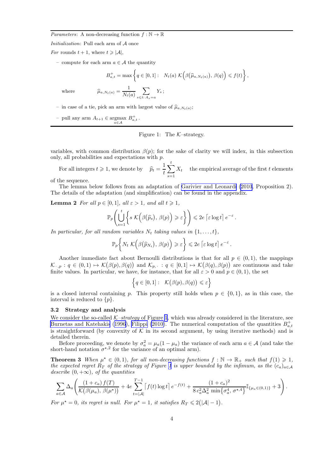<span id="page-4-0"></span>*Parameters:* A non-decreasing function  $f : \mathbb{N} \to \mathbb{R}$ 

Initialization: Pull each arm of A once

For rounds  $t + 1$ , where  $t \geq |\mathcal{A}|$ ,

– compute for each arm  $a \in \mathcal{A}$  the quantity

$$
B_{a,t}^+ = \max \left\{ q \in [0,1]: \quad N_t(a) \mathcal{K}\Big(\beta(\widehat{\mu}_{a,N_t(a)}), \beta(q)\Big) \leq f(t) \right\},\
$$

$$
\widehat{\mu}_{a,N_t(a)} = \frac{1}{N_t(a)} \sum_{s \leq t:\ A_s = a} Y_s;
$$

where

- in case of a tie, pick an arm with largest value of 
$$
\hat{\mu}_{a,N_t(a)}
$$
;

– pull any arm  $A_{t+1}$  ∈ argmax  $B_{a,t}^+$ .

#### Figure 1: The  $K$ -strategy.

variables, with common distribution  $\beta(p)$ ; for the sake of clarity we will index, in this subsection only, all probabilities and expectations with p.

For all integers  $t \geqslant 1$ , we denote by  $\hat{p}_t = \frac{1}{t}$ t  $\stackrel{t}{\blacktriangle}$  $s=1$  $X_t$  the empirical average of the first t elements

of the sequence.

The lemma below follows from an adaptation of [Garivier and Leonardi \(2010](#page-14-0), Proposition 2). The details of the adaptation (and simplification) can be found in the appendix.

**Lemma 2** *For all*  $p \in [0, 1]$ *, all*  $\varepsilon > 1$ *, and all*  $t \ge 1$ *,* 

$$
\mathbb{P}_p\left(\bigcup_{s=1}^t \left\{ s \ \mathcal{K}\Big(\beta(\widehat{p}_s), \ \beta(p)\Big) \geqslant \varepsilon \right\}\right) \leqslant 2e \left\lceil \varepsilon \log t \right\rceil e^{-\varepsilon}.
$$

In particular, for all random variables  $N_t$  taking values in  $\{1, \ldots, t\}$ ,

$$
\mathbb{P}_p\bigg\{N_t\; \mathcal{K}\Big(\beta\big(\widehat{p}_{N_t}\big),\,\beta(p)\Big)\geqslant \varepsilon\bigg\}\leqslant 2e\left\lceil\varepsilon\log t\right\rceil e^{-\varepsilon}\,.
$$

Another immediate fact about Bernoulli distributions is that for all  $p \in (0,1)$ , the mappings  $\mathcal{K}_{\cdot,p}: q \in (0,1) \mapsto \mathcal{K}(\beta(p), \beta(q))$  and  $\mathcal{K}_{p,\cdot} : q \in [0,1] \mapsto \mathcal{K}(\beta(q), \beta(p))$  are continuous and take finite values. In particular, we have, for instance, that for all  $\varepsilon > 0$  and  $p \in (0, 1)$ , the set

$$
\Bigl\{q\in[0,1]:\ \ \mathcal{K}\bigl(\beta(p),\beta(q)\bigr)\leqslant\varepsilon\Bigr\}
$$

is a closed interval containing p. This property still holds when  $p \in \{0, 1\}$ , as in this case, the interval is reduced to  $\{p\}$ .

#### 3.2 Strategy and analysis

We consider the so-called  $K$ -strategy of Figure 1, which was already considered in the literature, see [Burnetas and Katehakis](#page-14-0) ([1996](#page-14-0)), [Filippi \(2010\)](#page-14-0). The numerical computation of the quantities  $B_{a,t}^+$ is straightforward (by convexity of  $K$  in its second argument, by using iterative methods) and is detailed therein.

Before proceeding, we denote by  $\sigma_a^2 = \mu_a (1 - \mu_a)$  the variance of each arm  $a \in \mathcal{A}$  (and take the short-hand notation  $\sigma^{\star,2}$  for the variance of an optimal arm).

**Theorem 3** When  $\mu^* \in (0,1)$ , for all non-decreasing functions  $f : \mathbb{N} \to \mathbb{R}_+$  such that  $f(1) \geq 1$ , *the expected regret*  $R_T$  *of the strategy of Figure 1 is upper bounded by the infimum, as the*  $(c_a)_{a \in A}$ *describe*  $(0, +\infty)$ *, of the quantities* 

$$
\sum_{a\in\mathcal{A}}\Delta_a\left(\frac{(1+c_a)\,f(T)}{\mathcal{K}\big(\beta(\mu_a),\,\beta(\mu^{\star})\big)}+4e\sum_{t=|\mathcal{A}|}^{T-1}\left[f(t)\log t\right]e^{-f(t)}+\frac{(1+c_a)^2}{8\,c_a^2\Delta_a^2\,\min\big\{\sigma_a^4,\,\sigma^{\star,4}\big\}}\mathbb{I}_{\{\mu_a\in(0,1)\}}+3\right).
$$

For  $\mu^* = 0$ , its regret is null. For  $\mu^* = 1$ , it satisfies  $R_T \leq 2(|\mathcal{A}| - 1)$ .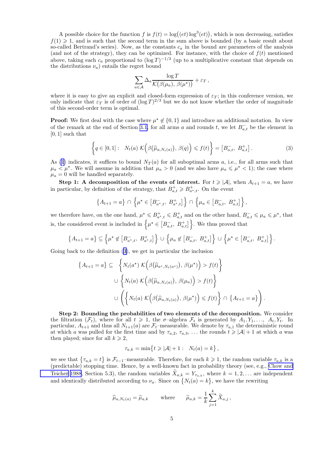A possible choice for the function f is  $f(t) = \log((et) \log^{3}(et))$ , which is non decreasing, satisfies  $f(1) \geq 1$ , and is such that the second term in the sum above is bounded (by a basic result about so-called Bertrand's series). Now, as the constants  $c_a$  in the bound are parameters of the analysis (and not of the strategy), they can be optimized. For instance, with the choice of  $f(t)$  mentioned above, taking each  $c_a$  proportional to  $(\log T)^{-1/3}$  (up to a multiplicative constant that depends on the distributions  $\nu_a$ ) entails the regret bound

$$
\sum_{a\in\mathcal{A}}\Delta_a \frac{\log T}{\mathcal{K}(\beta(\mu_a),\,\beta(\mu^{\star}))}+\varepsilon_T,
$$

where it is easy to give an explicit and closed-form expression of  $\varepsilon_T$ ; in this conference version, we only indicate that  $\varepsilon_T$  is of order of  $(\log T)^{2/3}$  but we do not know whether the order of magnitude of this second-order term is optimal.

**Proof:** We first deal with the case where  $\mu^* \notin \{0,1\}$  and introduce an additional notation. In view of the remark at the end of Section [3.1](#page-3-0), for all arms a and rounds t, we let  $B_{a,t}^-$  be the element in [0, 1] such that

$$
\left\{q \in [0,1]: N_t(a) \mathcal{K}\Big(\beta\big(\widehat{\mu}_{a,N_t(a)}\big), \beta(q)\Big) \leqslant f(t)\right\} = \left[B_{a,t}^-, B_{a,t}^+\right].\tag{3}
$$

As [\(1](#page-1-0)) indicates, it suffices to bound  $N_T(a)$  for all suboptimal arms a, i.e., for all arms such that  $\mu_a < \mu^*$ . We will assume in addition that  $\mu_a > 0$  (and we also have  $\mu_a \le \mu^* < 1$ ); the case where  $\mu_a = 0$  will be handled separately.

Step 1: A decomposition of the events of interest. For  $t \geq |\mathcal{A}|$ , when  $A_{t+1} = a$ , we have in particular, by definition of the strategy, that  $B_{a,t}^+ \geq B_{a^*,t}^+$ . On the event

$$
\left\{A_{t+1} = a\right\} \cap \left\{\mu^{\star} \in \left[B_{a^{\star},t}^{-}, B_{a^{\star},t}^{+}\right]\right\} \cap \left\{\mu_a \in \left[B_{a,t}^{-}, B_{a,t}^{+}\right]\right\},\
$$

we therefore have, on the one hand,  $\mu^* \leqslant B_{a^*,t}^+ \leqslant B_{a,t}^+$  and on the other hand,  $B_{a,t}^- \leqslant \mu_a \leqslant \mu^*$ , that is, the considered event is included in  $\left\{\mu^{\star} \in \left[B_{a,t}^{-}, B_{a,t}^{+}\right]\right\}$ . We thus proved that

$$
\left\{A_{t+1} = a\right\} \subseteq \left\{\mu^* \notin \left[B_{a^*,t}^-, B_{a^*,t}^+\right]\right\} \cup \left\{\mu_a \notin \left[B_{a,t}^-, B_{a,t}^+\right]\right\} \cup \left\{\mu^* \in \left[B_{a,t}^-, B_{a,t}^+\right]\right\}.
$$

Going back to the definition (3), we get in particular the inclusion

$$
\{A_{t+1} = a\} \subseteq \left\{ N_t(a^*) \mathcal{K}(\beta(\widehat{\mu}_{a^*,N_t(a^*)}), \beta(\mu^*)) > f(t) \right\}
$$

$$
\cup \left\{ N_t(a) \mathcal{K}(\beta(\widehat{\mu}_{a,N_t(a)}), \beta(\mu_a)) > f(t) \right\}
$$

$$
\cup \left( \left\{ N_t(a) \mathcal{K}(\beta(\widehat{\mu}_{a,N_t(a)}), \beta(\mu^*)) \leq f(t) \right\} \cap \left\{ A_{t+1} = a \right\} \right).
$$

Step 2: Bounding the probabilities of two elements of the decomposition. We consider the filtration  $(\mathcal{F}_t)$ , where for all  $t \geq 1$ , the  $\sigma$ -algebra  $\mathcal{F}_t$  is generated by  $A_1, Y_1, \ldots, A_t, Y_t$ . In particular,  $A_{t+1}$  and thus all  $N_{t+1}(a)$  are  $\mathcal{F}_t$ -measurable. We denote by  $\tau_{a,1}$  the deterministic round at which a was pulled for the first time and by  $\tau_{a,2}, \tau_{a,3}, \ldots$  the rounds  $t \geq |\mathcal{A}| + 1$  at which a was then played; since for all  $k \geq 2$ ,

$$
\tau_{a,k} = \min\left\{t \geqslant |\mathcal{A}| + 1: N_t(a) = k\right\},\,
$$

we see that  $\{\tau_{a,k}=t\}$  is  $\mathcal{F}_{t-1}$ -measurable. Therefore, for each  $k\geqslant 1$ , the random variable  $\tau_{a,k}$  is a (predictable) stopping time. Hence, by a well-known fact in probability theory (see, e.g., [Chow and](#page-14-0) [Teicher 1988](#page-14-0), Section 5.3), the random variables  $X_{a,k} = Y_{\tau_{a,k}}$ , where  $k = 1, 2, \ldots$  are independent and identically distributed according to  $\nu_a$ . Since on  $\{N_t(a) = k\}$ , we have the rewriting

$$
\widehat{\mu}_{a,N_t(a)} = \widetilde{\mu}_{a,k}
$$
 where  $\widetilde{\mu}_{a,k} = \frac{1}{k} \sum_{j=1}^k \widetilde{X}_{a,j}$ ,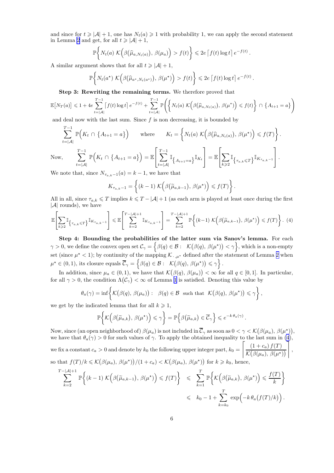<span id="page-6-0"></span>and since for  $t \geq |\mathcal{A}| + 1$ , one has  $N_t(a) \geq 1$  with probability 1, we can apply the second statement in Lemma [2](#page-4-0) and get, for all  $t \geq |\mathcal{A}| + 1$ ,

$$
\mathbb{P}\bigg\{N_t(a)\; \mathcal{K}\Big(\beta\big(\widehat{\mu}_{a,N_t(a)}\big),\,\beta(\mu_a)\Big)>f(t)\bigg\}\leqslant 2e\left[f(t)\log t\right]e^{-f(t)}
$$

.

A similar argument shows that for all  $t \geq |\mathcal{A}| + 1$ ,

$$
\mathbb{P}\bigg\{N_t(a^\star)\; \mathcal{K}\Big(\beta\big(\widehat{\mu}_{a^\star,N_t(a^\star)}\big),\,\beta(\mu^\star)\Big)>f(t)\bigg\}\leqslant 2e\,\big\lceil f(t)\log t\big\rceil\,e^{-f(t)}\,.
$$

Step 3: Rewriting the remaining terms. We therefore proved that

$$
\mathbb{E}\big[N_T(a)\big] \leq 1 + 4e \sum_{t=|\mathcal{A}|}^{T-1} \big[f(t) \log t\big] e^{-f(t)} + \sum_{t=|\mathcal{A}|}^{T-1} \mathbb{P}\bigg(\bigg\{N_t(a) \mathcal{K}\Big(\beta\big(\widehat{\mu}_{a,N_t(a)}\big), \beta(\mu^*)\Big) \leq f(t)\bigg\} \cap \{A_{t+1} = a\}\bigg)
$$

and deal now with the last sum. Since  $f$  is non decreasing, it is bounded by

$$
\sum_{t=|\mathcal{A}|}^{T-1} \mathbb{P}\Big(K_t \cap \{A_{t+1} = a\}\Big) \quad \text{where} \quad K_t = \left\{ N_t(a) \; \mathcal{K}\Big(\beta(\widehat{\mu}_{a,N_t(a)}), \beta(\mu^\star)\Big) \leq f(T) \right\}.
$$
\n
$$
\text{Now,} \quad \sum_{t=|\mathcal{A}|}^{T-1} \mathbb{P}\Big(K_t \cap \{A_{t+1} = a\}\Big) = \mathbb{E}\Bigg[\sum_{t=|\mathcal{A}|}^{T-1} \mathbb{I}_{\{A_{t+1} = a\}} \mathbb{I}_{K_t}\Bigg] = \mathbb{E}\Bigg[\sum_{k \geqslant 2} \mathbb{I}_{\{\tau_{a,k} \leqslant T\}} \mathbb{I}_{K_{\tau_{a,k}-1}}\Bigg].
$$
\n
$$
\text{We note that since } N_t \leqslant t \text{ is a linear basis that}
$$

We note that, since  $N_{\tau_{a,k}-1}(a) = k - 1$ , we have that

$$
K_{\tau_{a,k}-1} = \left\{ (k-1) \; \mathcal{K}\Big(\beta\big(\widetilde{\mu}_{a,k-1}\big), \; \beta(\mu^{\star})\Big) \leqslant f(T) \right\}.
$$

All in all, since  $\tau_{a,k} \leq T$  implies  $k \leq T - |\mathcal{A}| + 1$  (as each arm is played at least once during the first  $|\mathcal{A}|$  rounds), we have

$$
\mathbb{E}\left[\sum_{k\geqslant2}\mathbb{I}_{\left\{\tau_{a,k}\leqslant T\right\}}\mathbb{I}_{K_{\tau_{a,k}-1}}\right]\leqslant\mathbb{E}\left[\sum_{k=2}^{T-|\mathcal{A}|+1}\mathbb{I}_{K_{\tau_{a,k}-1}}\right]=\sum_{k=2}^{T-|\mathcal{A}|+1}\mathbb{P}\left\{(k-1)\;K\Big(\beta\big(\widetilde{\mu}_{a,k-1}\big),\,\beta(\mu^\star)\Big)\leqslant f(T)\right\}.\tag{4}
$$

Step 4: Bounding the probabilities of the latter sum via Sanov's lemma. For each  $\gamma > 0$ , we define the convex open set  $\mathcal{C}_{\gamma} = \Big\{\beta(q) \in \mathcal{B}: \mathcal{K}(\beta(q), \beta(\mu^{\star})) < \gamma \Big\}$ , which is a non-empty set (since  $\mu^*$  < 1); by continuity of the mapping  $\mathcal{K}_{\cdot,\mu^*}$  defined after the statement of Lemma [2](#page-4-0) when  $\mu^* \in (0, 1)$ , its closure equals  $\overline{C}_\gamma = \left\{ \beta(q) \in \mathcal{B} : \n\begin{array}{l} \n\mathcal{K}(\beta(q), \beta(\mu^*) \leq \gamma \n\end{array} \right\}.$ 

In addition, since  $\mu_a \in (0,1)$ , we have that  $\mathcal{K}(\beta(q), \beta(\mu_a)) < \infty$  for all  $q \in [0,1]$ . In particular, for all  $\gamma > 0$ , the condition  $\Lambda(\mathcal{C}_{\gamma}) < \infty$  of Lemma [1](#page-3-0) is satisfied. Denoting this value by

$$
\theta_a(\gamma) = \inf \left\{ \mathcal{K}(\beta(q), \beta(\mu_a)) : \beta(q) \in \mathcal{B} \text{ such that } \mathcal{K}(\beta(q), \beta(\mu^*) ) \leq \gamma \right\},\
$$

we get by the indicated lemma that for all  $k \geq 1$ ,

$$
\mathbb{P}\bigg\{\mathcal{K}\Big(\beta\big(\widetilde{\mu}_{a,k}\big),\,\beta(\mu^\star)\Big)\leqslant \gamma\bigg\}=\mathbb{P}\bigg\{\beta\big(\widetilde{\mu}_{a,k}\big)\in\overline{\mathcal{C}}_{\gamma}\bigg\}\leqslant e^{-k\,\theta_a(\gamma)}\,.
$$

Now, since (an open neighborhood of)  $\beta(\mu_a)$  is not included in  $\overline{\mathcal{C}}_{\gamma}$  as soon as  $0 < \gamma < \mathcal{K}(\beta(\mu_a), \beta(\mu^{\star}))$ , we have that  $\theta_a(\gamma) > 0$  for such values of  $\gamma$ . To apply the obtained inequality to the last sum in (4), we fix a constant  $c_a > 0$  and denote by  $k_0$  the following upper integer part,  $k_0 =$  $\left[ (1 + c_a) f(T) \right]$  $\frac{(1+c_a) f(T)}{\mathcal{K}(\beta(\mu_a), \beta(\mu^*))}$ , so that  $f(T)/k \leqslant \mathcal{K}(\beta(\mu_a), \beta(\mu^*))/(1+c_a) < \mathcal{K}(\beta(\mu_a), \beta(\mu^*))$  for  $k \geqslant k_0$ , hence,

$$
\sum_{k=2}^{T-|\mathcal{A}|+1} \mathbb{P}\bigg\{(k-1) \mathcal{K}\Big(\beta(\widetilde{\mu}_{a,k-1}), \beta(\mu^{\star})\Big) \leq f(T)\bigg\} \leq \sum_{k=1}^{T} \mathbb{P}\bigg\{\mathcal{K}\Big(\beta(\widetilde{\mu}_{a,k}), \beta(\mu^{\star})\Big) \leq \frac{f(T)}{k}\bigg\}
$$
  

$$
\leq k_0 - 1 + \sum_{k=k_0}^{T} \exp(-k \theta_a(f(T)/k)).
$$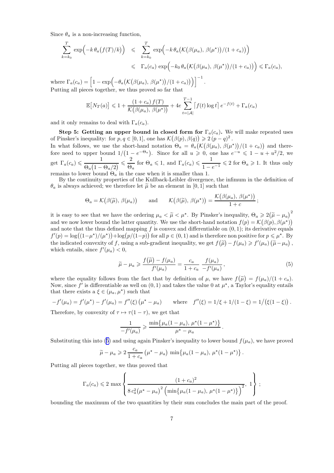Since  $\theta_a$  is a non-increasing function,

$$
\sum_{k=k_0}^T \exp\left(-k \theta_a \left(f(T)/k\right)\right) \leqslant \sum_{k=k_0}^T \exp\left(-k \theta_a \left(\mathcal{K}\left(\beta(\mu_a), \beta(\mu^*)\right)/(1+c_a)\right)\right)
$$
  

$$
\leqslant \Gamma_a(c_a) \exp\left(-k_0 \theta_a \left(\mathcal{K}\left(\beta(\mu_a), \beta(\mu^*)\right)/(1+c_a)\right)\right) \leqslant \Gamma_a(c_a),
$$

where  $\Gamma_a(c_a) = \left[1 - \exp\left(-\theta_a\left(\mathcal{K}(\beta(\mu_a), \beta(\mu^*)\right)/(1+c_a)\right)\right]\right]^{-1}$ . Putting all pieces together, we thus proved so far that

$$
\mathbb{E}\big[N_T(a)\big] \leq 1 + \frac{(1+c_a)f(T)}{\mathcal{K}\big(\beta(\mu_a), \beta(\mu^*)\big)} + 4e \sum_{t=|\mathcal{A}|}^{T-1} \big[f(t)\log t\big] e^{-f(t)} + \Gamma_a(c_a)
$$

and it only remains to deal with  $\Gamma_a(c_a)$ .

Step 5: Getting an upper bound in closed form for  $\Gamma_a(c_a)$ . We will make repeated uses of Pinsker's inequality: for  $p, q \in [0, 1]$ , one has  $\mathcal{K}(\beta(p), \beta(q)) \geqslant 2(p-q)^2$ . In what follows, we use the short-hand notation  $\Theta_a = \theta_a (\mathcal{K}(\beta(\mu_a), \beta(\mu^*))/(1+c_a))$  and therefore need to upper bound  $1/(1-e^{-\Theta_a})$ . Since for all  $u \geq 0$ , one has  $e^{-u} \leq 1-u+u^2/2$ , we

get  $\Gamma_a(c_a) \leqslant \frac{1}{\Omega(1-a)}$  $\frac{1}{\Theta_a \big(1-\Theta_a/2\big)} \leqslant \frac{2}{\Theta_a}$  $\frac{2}{\Theta_a}$  for  $\Theta_a \leq 1$ , and  $\Gamma_a(c_a) \leq \frac{1}{1-\epsilon}$  $\frac{1}{1-e^{-1}} \leqslant 2$  for  $\Theta_a \geqslant 1$ . It thus only remains to lower bound  $\Theta_a$  in the case when it is smaller than 1.

By the continuity properties of the Kullback-Leibler divergence, the infimum in the definition of  $\theta_a$  is always achieved; we therefore let  $\tilde{\mu}$  be an element in [0, 1] such that

$$
\Theta_a = \mathcal{K}(\beta(\widetilde{\mu}), \beta(\mu_a))
$$
 and  $\mathcal{K}(\beta(\widetilde{\mu}), \beta(\mu^*)) = \frac{\mathcal{K}(\beta(\mu_a), \beta(\mu^*))}{1+c}$ ;

it is easy to see that we have the ordering  $\mu_a < \tilde{\mu} < \mu^*$ . By Pinsker's inequality,  $\Theta_a \geq 2(\tilde{\mu} - \mu_a)^2$ and we now lower bound the latter quantity. We use the short-hand notation  $f(p) = \mathcal{K}(\beta(p), \beta(\mu^{\star}))$ and note that the thus defined mapping  $f$  is convex and differentiable on  $(0, 1)$ ; its derivative equals  $f'(p) = \log((1-\mu^*)/(\mu^*)) + \log(p/(1-p))$  for all  $p \in (0,1)$  and is therefore non positive for  $p \leq \mu^*$ . By the indicated convexity of f, using a sub-gradient inequality, we get  $f(\tilde{\mu}) - f(\mu_a) \geq f'(\mu_a) (\tilde{\mu} - \mu_a)$ , which entails, since  $f'(\mu_a) < 0$ ,

$$
\widetilde{\mu} - \mu_a \geqslant \frac{f(\widetilde{\mu}) - f(\mu_a)}{f'(\mu_a)} = \frac{c_a}{1 + c_a} \frac{f(\mu_a)}{-f'(\mu_a)},\tag{5}
$$

.

where the equality follows from the fact that by definition of  $\mu$ , we have  $f(\tilde{\mu}) = f(\mu_a)/(1 + c_a)$ . Now, since f' is differentiable as well on  $(0,1)$  and takes the value 0 at  $\mu^*$ , a Taylor's equality entails that there exists a  $\xi \in (\mu_a, \mu^*)$  such that

$$
-f'(\mu_a) = f'(\mu^*) - f'(\mu_a) = f''(\xi) (\mu^* - \mu_a) \quad \text{where} \quad f''(\xi) = 1/\xi + 1/(1 - \xi) = 1/(\xi(1 - \xi)).
$$

Therefore, by convexity of  $\tau \mapsto \tau(1-\tau)$ , we get that

$$
\frac{1}{-f'(\mu_a)} \ge \frac{\min\{\mu_a(1-\mu_a), \, \mu^*(1-\mu^*)\}}{\mu^* - \mu_a}
$$

Substituting this into (5) and using again Pinsker's inequality to lower bound  $f(\mu_a)$ , we have proved

$$
\widetilde{\mu} - \mu_a \geqslant 2 \frac{c_a}{1+c_a} \left( \mu^* - \mu_a \right) \min \{ \mu_a (1-\mu_a), \, \mu^*(1-\mu^*) \} \, .
$$

Putting all pieces together, we thus proved that

$$
\Gamma_a(c_a) \leq 2 \max \left\{ \frac{(1+c_a)^2}{8 c_a^2 (\mu^* - \mu_a)^2 \left( \min\{\mu_a(1-\mu_a), \mu^*(1-\mu^*)\}\right)^2}, 1 \right\};
$$

bounding the maximum of the two quantities by their sum concludes the main part of the proof.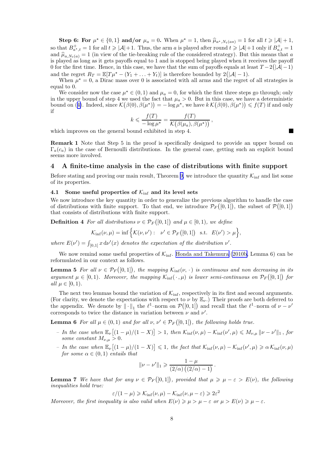<span id="page-8-0"></span>Step 6: For  $\mu^* \in \{0,1\}$  and/or  $\mu_a = 0$ . When  $\mu^* = 1$ , then  $\widehat{\mu}_{a^*,N_t(a*)} = 1$  for all  $t \ge |\mathcal{A}| + 1$ , so that  $B_{a^*,t}^+ = 1$  for all  $t \geq |\mathcal{A}| + 1$ . Thus, the arm a is played after round  $t \geq |\mathcal{A}| + 1$  only if  $B_{a,t}^+ = 1$ and  $\hat{\mu}_{a,N_t(a)} = 1$  (in view of the tie-breaking rule of the considered strategy). But this means that a is played as long as it gets payoffs equal to 1 and is stopped being played when it receives the payoff 0 for the first time. Hence, in this case, we have that the sum of payoffs equals at least  $T-2(|\mathcal{A}|-1)$ and the regret  $R_T = \mathbb{E}[T\mu^* - (Y_1 + \ldots + Y_t)]$  is therefore bounded by  $2(|A| - 1)$ .

When  $\mu^* = 0$ , a Dirac mass over 0 is associated with all arms and the regret of all strategies is equal to 0.

We consider now the case  $\mu^* \in (0,1)$  and  $\mu_a = 0$ , for which the first three steps go through; only in the upper bound of step 4 we used the fact that  $\mu_a > 0$ . But in this case, we have a deterministic boundon ([4\)](#page-6-0). Indeed, since  $\mathcal{K}(\beta(0), \beta(\mu^*)) = -\log \mu^*$ , we have  $k \mathcal{K}(\beta(0), \beta(\mu^*)) \leq f(T)$  if and only if

$$
k \leqslant \frac{f(T)}{-\log \mu^{\star}} = \frac{f(T)}{\mathcal{K}\big(\beta(\mu_a), \beta(\mu^{\star})\big)},
$$

 $\blacksquare$ 

which improves on the general bound exhibited in step 4.

Remark 1 Note that Step 5 in the proof is specifically designed to provide an upper bound on  $\Gamma_a(c_a)$  in the case of Bernoulli distributions. In the general case, getting such an explicit bound seems more involved.

#### 4 A finite-time analysis in the case of distributions with finite support

Before stating and proving our main result, Theorem [9,](#page-9-0) we introduce the quantity  $\mathcal{K}_{\text{inf}}$  and list some of its properties.

#### 4.1 Some useful properties of  $\mathcal{K}_{\text{inf}}$  and its level sets

We now introduce the key quantity in order to generalize the previous algorithm to handle the case of distributions with finite support. To that end, we introduce  $\mathcal{P}_F([0,1])$ , the subset of  $\mathcal{P}([0,1])$ that consists of distributions with finite support.

**Definition 4** For all distributions  $\nu \in \mathcal{P}_F([0,1])$  and  $\mu \in [0,1)$ , we define

$$
\mathcal{K}_{\text{inf}}(\nu,\mu) = \inf \Big\{ \mathcal{K}(\nu,\nu') : \ \nu' \in \mathcal{P}_F([0,1]) \ \text{s.t.} \ E(\nu') > \mu \Big\},\
$$

*where*  $E(\nu') = \int_{[0,1]} x \, d\nu'(x)$  *denotes the expectation of the distribution*  $\nu'$ *.* 

We now remind some useful properties of  $K_{\text{inf}}$ . [Honda and Takemura \(2010b](#page-14-0), Lemma 6) can be reformulated in our context as follows.

**Lemma 5** For all  $\nu \in \mathcal{P}_F([0,1])$ , the mapping  $\mathcal{K}_{\text{inf}}(\nu, \cdot)$  is continuous and non decreasing in its *argument*  $\mu \in [0, 1)$ *. Moreover, the mapping*  $\mathcal{K}_{\text{inf}}(\cdot, \mu)$  *is lower semi-continuous on*  $\mathcal{P}_F([0, 1])$  for *all*  $\mu \in [0, 1)$ *.* 

The next two lemmas bound the variation of  $\mathcal{K}_{\text{inf}}$ , respectively in its first and second arguments. (For clarity, we denote the expectations with respect to  $\nu$  by  $\mathbb{E}_{\nu}$ .) Their proofs are both deferred to the appendix. We denote by  $\|\cdot\|_1$  the  $\ell^1$ -norm on  $\mathcal{P}([0,1])$  and recall that the  $\ell^1$ -norm of  $\nu-\nu'$ corresponds to twice the distance in variation between  $\nu$  and  $\nu'$ .

**Lemma 6** For all  $\mu \in (0,1)$  and for all  $\nu, \nu' \in \mathcal{P}_F([0,1])$ , the following holds true.

- *–* In the case when  $\mathbb{E}_{\nu}[(1-\mu)/(1-X)] > 1$ , then  $\mathcal{K}_{\text{inf}}(\nu,\mu) \mathcal{K}_{\text{inf}}(\nu',\mu) \leq M_{\nu,\mu} ||\nu \nu'||_1$ , for *some constant*  $M_{\nu,\mu} > 0$ .
- $-In$  the case when  $\mathbb{E}_{\nu}[(1-\mu)/(1-X)] \leq 1$ , the fact that  $\mathcal{K}_{\text{inf}}(\nu,\mu) \mathcal{K}_{\text{inf}}(\nu',\mu) \geq \alpha \mathcal{K}_{\text{inf}}(\nu,\mu)$ *for some*  $\alpha \in (0,1)$  *entails that*

$$
\|\nu-\nu'\|_1 \geqslant \frac{1-\mu}{(2/\alpha)\left((2/\alpha)-1\right)}.
$$

**Lemma 7** We have that for any  $\nu \in \mathcal{P}_F([0,1])$ , provided that  $\mu \geq \mu - \varepsilon > E(\nu)$ , the following *inequalities hold true:*

$$
\varepsilon/(1-\mu) \geqslant \mathcal{K}_{\text{inf}}(\nu,\mu) - \mathcal{K}_{\text{inf}}(\nu,\mu-\varepsilon) \geqslant 2\varepsilon^2
$$

*Moreover, the first inequality is also valid when*  $E(\nu) \ge \mu > \mu - \varepsilon$  or  $\mu > E(\nu) \ge \mu - \varepsilon$ .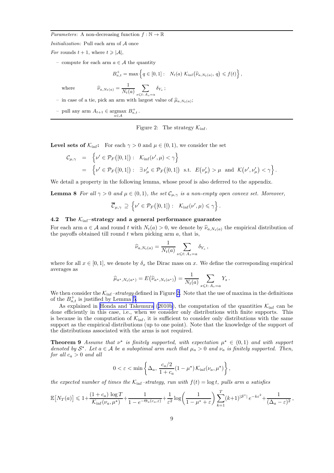<span id="page-9-0"></span>*Parameters:* A non-decreasing function  $f : \mathbb{N} \to \mathbb{R}$ 

Initialization: Pull each arm of A once

For rounds  $t + 1$ , where  $t \geq |\mathcal{A}|$ ,

– compute for each arm  $a \in \mathcal{A}$  the quantity

$$
B_{a,t}^+ = \max\left\{q \in [0,1]: \quad N_t(a) \mathcal{K}_{\text{inf}}(\widehat{\nu}_{a,N_t(a)}, q) \leqslant f(t)\right\},\,
$$

where  $\widehat{\nu}$ ,

$$
a_{a,N_t(a)} = \frac{1}{N_t(a)} \sum_{s \leq t \colon A_s = a} \delta_{Y_s} ;
$$

– in case of a tie, pick an arm with largest value of  $\hat{\mu}_{a,N_t(a)}$ ;

- pull any arm  $A_{t+1}$  ∈ argmax  $B_{a,t}^+$ .

#### Figure 2: The strategy  $\mathcal{K}_{\text{inf}}$ .

**Level sets of**  $\mathcal{K}_{\text{inf}}$ **:** For each  $\gamma > 0$  and  $\mu \in (0, 1)$ , we consider the set

$$
\mathcal{C}_{\mu,\gamma} = \left\{ \nu' \in \mathcal{P}_F([0,1]) : \mathcal{K}_{\text{inf}}(\nu',\mu) < \gamma \right\}
$$
\n
$$
= \left\{ \nu' \in \mathcal{P}_F([0,1]) : \exists \nu'_{\mu} \in \mathcal{P}_F([0,1]) \text{ s.t. } E(\nu'_{\mu}) > \mu \text{ and } \mathcal{K}(\nu',\nu'_{\mu}) < \gamma \right\}.
$$

We detail a property in the following lemma, whose proof is also deferred to the appendix.

**Lemma 8** *For all*  $\gamma > 0$  *and*  $\mu \in (0, 1)$ *, the set*  $\mathcal{C}_{\mu, \gamma}$  *is a non-empty open convex set. Moreover,* 

$$
\overline{\mathcal{C}}_{\mu,\gamma} \supseteq \left\{ \nu' \in \mathcal{P}_F([0,1]) : \mathcal{K}_{\inf}(\nu',\mu) \leq \gamma \right\}.
$$

#### 4.2 The  $K_{\text{inf}}$ -strategy and a general performance guarantee

For each arm  $a \in \mathcal{A}$  and round t with  $N_t(a) > 0$ , we denote by  $\hat{\nu}_{a,N_t(a)}$  the empirical distribution of the payoffs obtained till round  $t$  when picking arm  $a$ , that is,

$$
\widehat{\nu}_{a,N_t(a)} = \frac{1}{N_t(a)} \sum_{s \leqslant t: A_s = a} \delta_{Y_s} \,,
$$

where for all  $x \in [0, 1]$ , we denote by  $\delta_x$  the Dirac mass on x. We define the corresponding empirical averages as

$$
\widehat{\mu}_{a^*,N_t(a^*)}=E(\widehat{\nu}_{a^*,N_t(a^*)})=\frac{1}{N_t(a)}\sum_{s\leq t:\ A_s=a}Y_s.
$$

We then consider the  $\mathcal{K}_{\rm inf}$ -strategy defined in Figure 2. Note that the use of maxima in the definitions of the  $B_{a,t}^+$  is justified by Lemma [5](#page-8-0).

As explained in [Honda and Takemura](#page-14-0) ([2010b](#page-14-0)), the computation of the quantities  $K_{\text{inf}}$  can be done efficiently in this case, i.e., when we consider only distributions with finite supports. This is because in the computation of  $\mathcal{K}_{\text{inf}}$ , it is sufficient to consider only distributions with the same support as the empirical distributions (up to one point). Note that the knowledge of the support of the distributions associated with the arms is not required.

**Theorem 9** Assume that  $\nu^*$  is finitely supported, with expectation  $\mu^* \in (0,1)$  and with support *denoted by*  $S^*$ . Let  $a \in A$  *be a suboptimal arm such that*  $\mu_a > 0$  *and*  $\nu_a$  *is finitely supported. Then, for all*  $c_a > 0$  *and all* 

$$
0 < \varepsilon < \min\left\{\Delta_a, \frac{c_a/2}{1+c_a}(1-\mu^\star)\,\mathcal{K}_{\inf}(\nu_a,\mu^\star)\right\},\,
$$

*the expected number of times the*  $K_{\text{inf}}$ -strategy, run with  $f(t) = \log t$ , pulls arm a satisfies

$$
\mathbb{E}\big[N_T(a)\big] \leqslant 1 + \frac{(1+c_a)\log T}{\mathcal{K}_{\inf}(\nu_a,\mu^*)} + \frac{1}{1-e^{-\Theta_a(c_a,\varepsilon)}} + \frac{1}{\varepsilon^2}\log\bigg(\frac{1}{1-\mu^*+\varepsilon}\bigg) \sum_{k=1}^T (k+1)^{|\mathcal{S}^*|} e^{-k\varepsilon^2} + \frac{1}{(\Delta_a-\varepsilon)^2},
$$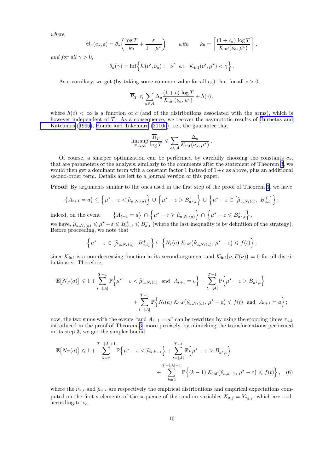<span id="page-10-0"></span>*where*

$$
\Theta_a(c_a, \varepsilon) = \theta_a \left( \frac{\log T}{k_0} + \frac{\varepsilon}{1 - \mu^*} \right) \qquad with \qquad k_0 = \left\lceil \frac{(1 + c_a) \log T}{\mathcal{K}_{\text{inf}}(\nu_a, \mu^*)} \right\rceil.
$$

*and for all*  $\gamma > 0$ *,* 

$$
\theta_a(\gamma) = \inf \left\{ \mathcal{K}(\nu', \nu_a) : \nu' \text{ s.t. } \mathcal{K}_{\inf}(\nu', \mu^*) < \gamma \right\}.
$$

As a corollary, we get (by taking some common value for all  $c_a$ ) that for all  $c > 0$ ,

$$
\overline{R}_T \leqslant \sum_{a \in \mathcal{A}} \Delta_a \frac{(1+c) \log T}{\mathcal{K}_{\text{inf}}(\nu_a, \mu^*)} + h(c),
$$

where  $h(c) < \infty$  is a function of c (and of the distributions associated with the arms), which is however independent of T. As a consequence, we recover the asymptotic results of [Burnetas and](#page-14-0) [Katehakis](#page-14-0) ([1996\)](#page-14-0), [Honda and Takemura \(2010a](#page-14-0)), i.e., the guarantee that

$$
\limsup_{T \to \infty} \frac{\overline{R}_T}{\log T} \leqslant \sum_{a \in \mathcal{A}} \frac{\Delta_a}{\mathcal{K}_{\inf}(\nu_a, \mu^*)}.
$$

Of course, a sharper optimization can be performed by carefully choosing the constants  $c_a$ , that are parameters of the analysis; similarly to the comments after the statement of Theorem [3,](#page-4-0) we would then get a dominant term with a constant factor 1 instead of  $1+c$  as above, plus an additional second-order term. Details are left to a journal version of this paper.

**Proof:** By arguments similar to the ones used in the first step of the proof of Theorem [3](#page-4-0), we have

$$
\left\{A_{t+1}=a\right\} \subseteq \left\{\mu^*-\varepsilon < \widehat{\mu}_{a,N_t(a)}\right\} \cup \left\{\mu^*-\varepsilon > B_{a^*,t}^+\right\} \cup \left\{\mu^*-\varepsilon \in \left[\widehat{\mu}_{a,N_t(a)}, B_{a,t}^+\right]\right\};
$$

indeed, on the event  $\{A_{t+1} = a\} \cap \{\mu^* - \varepsilon \geq \widehat{\mu}_{a,N_t(a)}\} \cap \{\mu^* - \varepsilon \leqslant B_{a^*,t}^+\},\$ we have,  $\hat{\mu}_{a,N_t(a)} \leq \mu^* - \varepsilon \leq B_{a,t}^+ \leq B_{a,t}^+$  (where the last inequality is by definition of the strategy). Before proceeding, we note that

$$
\left\{\mu^{\star}-\varepsilon\in\left[\widehat{\mu}_{a,N_{t}(a)},\ B_{a,t}^{+}\right]\right\}\subseteq\left\{N_{t}(a)\ \mathcal{K}_{\inf}\left(\widehat{\nu}_{a,N_{t}(a)},\ \mu^{\star}-\varepsilon\right)\leqslant f(t)\right\},\
$$

since  $\mathcal{K}_{\text{inf}}$  is a non-decreasing function in its second argument and  $\mathcal{K}_{\text{inf}}(\nu, E(\nu)) = 0$  for all distributions  $\nu$ . Therefore,

$$
\mathbb{E}\left[N_T(a)\right] \leq 1 + \sum_{t=|\mathcal{A}|}^{T-1} \mathbb{P}\left\{\mu^* - \varepsilon < \widehat{\mu}_{a,N_t(a)} \text{ and } A_{t+1} = a\right\} + \sum_{t=|\mathcal{A}|}^{T-1} \mathbb{P}\left\{\mu^* - \varepsilon > B_{a^*,t}^+\right\} + \sum_{t=|\mathcal{A}|}^{T-1} \mathbb{P}\left\{N_t(a) \mathcal{K}_{\text{inf}}(\widehat{\nu}_{a,N_t(a)}, \mu^* - \varepsilon) \leq f(t) \text{ and } A_{t+1} = a\right\};
$$

now, the two sums with the events "and  $A_{t+1} = a$ " can be rewritten by using the stopping times  $\tau_{a,k}$ introduced in the proof of Theorem [3](#page-4-0); more precisely, by mimicking the transformations performed in its step 3, we get the simpler bound

$$
\mathbb{E}\left[N_T(a)\right] \leq 1 + \sum_{k=2}^{T-|\mathcal{A}|+1} \mathbb{P}\left\{\mu^\star - \varepsilon < \widetilde{\mu}_{a,k-1}\right\} + \sum_{t=|\mathcal{A}|}^{T-1} \mathbb{P}\left\{\mu^\star - \varepsilon > B_{a^\star,t}^+\right\} + \sum_{k=2}^{T-|\mathcal{A}|+1} \mathbb{P}\left\{(k-1) \mathcal{K}_{\text{inf}}(\widetilde{\nu}_{a,k-1}, \mu^\star - \varepsilon) \leq f(t)\right\},\tag{6}
$$

where the  $\tilde{\nu}_{a,s}$  and  $\tilde{\mu}_{a,s}$  are respectively the empirical distributions and empirical expectations computed on the first s elements of the sequence of the random variables  $\widetilde{X}_{a,j} = Y_{\tau_{a,j}}$ , which are i.i.d. according to  $\nu_a$ .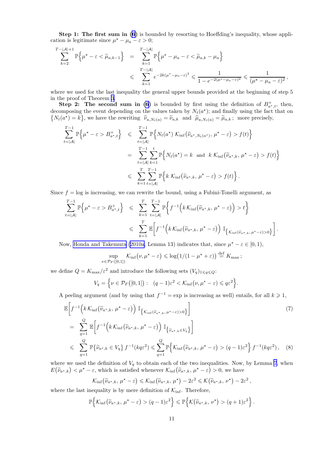<span id="page-11-0"></span>Step 1: The first sum in [\(6\)](#page-10-0) is bounded by resorting to Hoeffding's inequality, whose application is legitimate since  $\mu^* - \mu_a - \varepsilon > 0$ ;

$$
\sum_{k=2}^{T-|\mathcal{A}|+1} \mathbb{P}\left\{\mu^*-\varepsilon<\widetilde{\mu}_{a,k-1}\right\} = \sum_{k=1}^{T-|\mathcal{A}|} \mathbb{P}\left\{\mu^*-\mu_a-\varepsilon<\widetilde{\mu}_{a,k}-\mu_a\right\}
$$
  

$$
\leqslant \sum_{k=1}^{T-|\mathcal{A}|} e^{-2k(\mu^*-\mu_a-\varepsilon)^2} \leqslant \frac{1}{1-e^{-2(\mu^*-\mu_a-\varepsilon)^2}} \leqslant \frac{1}{(\mu^*-\mu_a-\varepsilon)^2},
$$

where we used for the last inequality the general upper bounds provided at the beginning of step 5 in the proof of Theorem [3](#page-4-0).

**Step 2:** The second sum in [\(6](#page-10-0)) is bounded by first using the definition of  $B_{a^*,t}^+$ , then, decomposing the event depending on the values taken by  $N_t(a^*)$ ; and finally using the fact that on  $\{N_t(a^*) = k\}$ , we have the rewriting  $\hat{\nu}_{a,N_t(a)} = \tilde{\nu}_{a,k}$  and  $\hat{\mu}_{a,N_t(a)} = \tilde{\mu}_{a,k}$ ; more precisely,

$$
\sum_{t=|\mathcal{A}|}^{T-1} \mathbb{P}\left\{\mu^*-\varepsilon>B_{a^*,t}^+\right\} \leqslant \sum_{t=|\mathcal{A}|}^{T-1} \mathbb{P}\left\{N_t(a^*)\mathcal{K}_{\inf}(\widehat{\nu}_{a^*,N_t(a^*)},\mu^*-\varepsilon) > f(t)\right\}
$$
\n
$$
= \sum_{t=|\mathcal{A}|}^{T-1} \sum_{k=1}^t \mathbb{P}\left\{N_t(a^*)=k \text{ and } k\mathcal{K}_{\inf}(\widetilde{\nu}_{a^*,k},\mu^*-\varepsilon) > f(t)\right\}
$$
\n
$$
\leqslant \sum_{k=1}^{T} \sum_{t=|\mathcal{A}|}^{T-1} \mathbb{P}\left\{k\mathcal{K}_{\inf}(\widetilde{\nu}_{a^*,k},\mu^*-\varepsilon) > f(t)\right\}.
$$

Since  $f = \log$  is increasing, we can rewrite the bound, using a Fubini-Tonelli argument, as

$$
\sum_{t=|\mathcal{A}|}^{T-1} \mathbb{P}\left\{\mu^*-\varepsilon>B_{a^*,t}^+\right\} \leqslant \sum_{k=1}^T \sum_{t=|\mathcal{A}|}^{T-1} \mathbb{P}\left\{f^{-1}\left(k\mathcal{K}_{\text{inf}}(\widetilde{\nu}_{a^*,k},\mu^*-\varepsilon)\right) > t\right\}
$$

$$
\leqslant \sum_{k=1}^T \mathbb{E}\left[f^{-1}\left(k\mathcal{K}_{\text{inf}}(\widetilde{\nu}_{a^*,k},\mu^*-\varepsilon)\right) \mathbb{I}_{\left\{\mathcal{K}_{\text{inf}}(\widetilde{\nu}_{a^*,k},\mu^*-\varepsilon)>0\right\}}\right].
$$

Now, [Honda and Takemura](#page-14-0) ([2010a](#page-14-0), Lemma 13) indicates that, since  $\mu^* - \varepsilon \in [0,1)$ ,

$$
\sup_{\nu \in \mathcal{P}_F([0,1])} \mathcal{K}_{\text{inf}}(\nu, \mu^* - \varepsilon) \leq \log(1/(1 - \mu^* + \varepsilon)) \stackrel{\text{def}}{=} K_{\text{max}};
$$

we define  $Q = K_{\text{max}}/\varepsilon^2$  and introduce the following sets  $(V_q)_{1 \leq q \leq Q}$ :

$$
V_q = \left\{ \nu \in \mathcal{P}_F([0,1]) : \left( q - 1 \right) \varepsilon^2 < \mathcal{K}_{\inf} \left( \nu, \mu^* - \varepsilon \right) \leqslant q \varepsilon^2 \right\}.
$$

A peeling argument (and by using that  $f^{-1} = \exp$  is increasing as well) entails, for all  $k \geq 1$ ,

$$
\mathbb{E}\left[f^{-1}\left(k\,\mathcal{K}_{\text{inf}}\left(\widetilde{\nu}_{a^*,k},\,\mu^{\star}-\varepsilon\right)\right)\,\mathbb{I}_{\left\{\mathcal{K}_{\text{inf}}\left(\widetilde{\nu}_{a^*,k},\,\mu^{\star}-\varepsilon\right)>\,0\right\}}\right]
$$
\n
$$
=\sum_{q=1}^{Q}\mathbb{E}\left[f^{-1}\left(k\,\mathcal{K}_{\text{inf}}\left(\widetilde{\nu}_{a^*,k},\,\mu^{\star}-\varepsilon\right)\right)\,\mathbb{I}_{\left\{\widetilde{\nu}_{a^*,k}\in V_q\right\}}\right]
$$
\n
$$
\leqslant \sum_{q=1}^{Q}\mathbb{P}\left\{\widetilde{\nu}_{a^*,k}\in V_q\right\}f^{-1}\left(kq\varepsilon^2\right)\leqslant \sum_{q=1}^{Q}\mathbb{P}\left\{\mathcal{K}_{\text{inf}}\left(\widetilde{\nu}_{a^*,k},\,\mu^{\star}-\varepsilon\right)>\left(q-1\right)\varepsilon^2\right\}f^{-1}\left(kq\varepsilon^2\right),\tag{8}
$$

where we used the definition of  $V_q$  to obtain each of the two inequalities. Now, by Lemma [7](#page-8-0), when  $E(\tilde{\nu}_{a^*,k}) < \mu^* - \varepsilon$ , which is satisfied whenever  $\mathcal{K}_{\text{inf}}(\tilde{\nu}_{a^*,k}, \mu^* - \varepsilon) > 0$ , we have

$$
\mathcal{K}_{\inf}(\widetilde{\nu}_{a^{\star},k},\,\mu^{\star}-\varepsilon)\leqslant\mathcal{K}_{\inf}(\widetilde{\nu}_{a^{\star},k},\,\mu^{\star})-2\varepsilon^{2}\leqslant\mathcal{K}\big(\widetilde{\nu}_{a^{\star},k},\,\nu^{\star}\big)-2\varepsilon^{2}\,,
$$

where the last inequality is by mere definition of  $\mathcal{K}_{\text{inf}}$ . Therefore,

$$
\mathbb{P}\Big\{\mathcal{K}_{\inf}\big(\widetilde{\nu}_{a^*,k},\,\mu^{\star}-\varepsilon\big)>(q-1)\varepsilon^2\Big\}\leqslant\mathbb{P}\Big\{\mathcal{K}\big(\widetilde{\nu}_{a^*,k},\,\nu^{\star}\big)>(q+1)\varepsilon^2\Big\}\,.
$$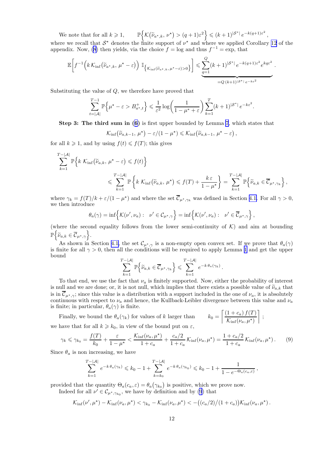We note that for all  $k \geq 1$ ,  $\left\{\mathcal{K}\bigl(\widetilde{\nu}_{a^\star,k},\,\nu^\star\bigr) > (q+1)\varepsilon^2\right\}\leqslant (k+1)^{|\mathcal{S}^\star|}\,e^{-k(q+1)\varepsilon^2}\,,$ 

where we recall that  $S^*$  denotes the finite support of  $\nu^*$  and where we applied Corollary [12](#page-19-0) of the appendix. Now, [\(8](#page-11-0)) then yields, via the choice  $f = \log$  and thus  $f^{-1} = \exp$ , that

$$
\mathbb{E}\bigg[f^{-1}\Big(k\,\mathcal{K}_{\rm inf}\big(\widetilde{\nu}_{a^\star,k},\,\mu^\star-\varepsilon\big)\Big)\; \mathbb{I}_{\big\{\mathcal{K}_{\rm inf}\left(\widetilde{\nu}_{a^\star,k},\,\mu^\star-\varepsilon\right)>0\big\}}\bigg]\leqslant \underbrace{\sum_{q=1}^Q(k+1)^{|\mathcal{S}^*|}\,e^{-k(q+1)\varepsilon^2}e^{kq\varepsilon^2}}_{=Q\,(k+1)^{|\mathcal{S}^*|}\,e^{-k\varepsilon^2}}\,.
$$

Substituting the value of Q, we therefore have proved that

$$
\sum_{t=|\mathcal{A}|}^{T-1} \mathbb{P}\Big\{\mu^* - \varepsilon > B_{a^*,t}^+\Big\} \leqslant \frac{1}{\varepsilon^2} \log\bigg(\frac{1}{1-\mu^* + \varepsilon}\bigg) \sum_{k=1}^T (k+1)^{|\mathcal{S}^*|} e^{-k\varepsilon^2}.
$$

Step 3: The third sum in([6](#page-10-0)) is first upper bounded by Lemma [7](#page-8-0), which states that

$$
\mathcal{K}_{\inf}(\widetilde{\nu}_{a,k-1}, \mu^*) - \varepsilon/(1-\mu^*) \leq \mathcal{K}_{\inf}(\widetilde{\nu}_{a,k-1}, \mu^* - \varepsilon),
$$

for all  $k \geq 1$ , and by using  $f(t) \leq f(T)$ ; this gives

$$
\sum_{k=1}^{T-|\mathcal{A}|} \mathbb{P}\Big\{k \mathcal{K}_{\text{inf}}(\widetilde{\nu}_{a,k}, \mu^*-\varepsilon) \leq f(t)\Big\}
$$
  

$$
\leq \sum_{k=1}^{T-|\mathcal{A}|} \mathbb{P}\Big\{k \mathcal{K}_{\text{inf}}(\widetilde{\nu}_{a,k}, \mu^*) \leq f(T) + \frac{k\varepsilon}{1-\mu^*}\Big\} = \sum_{k=1}^{T-|\mathcal{A}|} \mathbb{P}\Big\{\widetilde{\nu}_{a,k} \in \overline{\mathcal{C}}_{\mu^*, \gamma_k}\Big\},
$$

where  $\gamma_k = f(T)/k + \varepsilon/(1 - \mu^*)$  and where the set  $\overline{C}_{\mu^*, \gamma_k}$  was defined in Section [4.1.](#page-8-0) For all  $\gamma > 0$ , we then introduce

$$
\theta_a(\gamma) = \inf \left\{ \mathcal{K}(\nu', \nu_a) : \ \nu' \in C_{\mu^*, \gamma} \right\} = \inf \left\{ \mathcal{K}(\nu', \nu_a) : \ \nu' \in \overline{C}_{\mu^*, \gamma} \right\},
$$

(where the second equality follows from the lower semi-continuity of  $K$ ) and aim at bounding  $\mathbb{P}\Big\{\widetilde\nu_{a,k}\in\overline{\mathcal C}_{\mu^\star,\gamma}\Big\}.$ 

As shown in Section [4.1,](#page-8-0) the set  $\mathcal{C}_{\mu^*,\gamma}$  is a non-empty open convex set. If we prove that  $\theta_a(\gamma)$ is finite for all  $\gamma > 0$ , then all the conditions will be required to apply Lemma [1](#page-3-0) and get the upper bound

$$
\sum_{k=1}^{T-|\mathcal{A}|} \mathbb{P}\Big\{\widetilde{\nu}_{a,k} \in \overline{\mathcal{C}}_{\mu^*,\gamma_k}\Big\} \leqslant \sum_{k=1}^{T-|\mathcal{A}|} e^{-k \theta_a(\gamma_k)}.
$$

To that end, we use the fact that  $\nu_a$  is finitely supported. Now, either the probability of interest is null and we are done; or, it is not null, which implies that there exists a possible value of  $\tilde{\nu}_{a,k}$  that is in  $\mathcal{C}_{\mu^*,\gamma}$ ; since this value is a distribution with a support included in the one of  $\nu_a$ , it is absolutely continuous with respect to  $\nu_a$  and hence, the Kullback-Leibler divergence between this value and  $\nu_a$ is finite; in particular,  $\theta_a(\gamma)$  is finite.  $\lceil (1 + c_a) f(T) \rceil$ T

Finally, we bound the  $\theta_a(\gamma_k)$  for values of k larger than we have that for all  $k \geq k_0$ , in view of the bound put on  $\varepsilon$ ,

$$
\gamma_k \leq \gamma_{k_0} = \frac{f(T)}{k_0} + \frac{\varepsilon}{1 - \mu^*} < \frac{\mathcal{K}_{\inf}(\nu_a, \mu^*)}{1 + c_a} + \frac{c_a/2}{1 + c_a} \mathcal{K}_{\inf}(\nu_a, \mu^*) = \frac{1 + c_a/2}{1 + c_a} \mathcal{K}_{\inf}(\nu_a, \mu^*) \,. \tag{9}
$$

 $\mathcal{K}_{\rm inf}(\nu_a,\mu^\star)$ 

;

Since  $\theta_a$  is non increasing, we have

$$
\sum_{k=1}^{T-|\mathcal{A}|} e^{-k \theta_a(\gamma_k)} \leq k_0 - 1 + \sum_{k=k_0}^{T-|\mathcal{A}|} e^{-k \theta_a(\gamma_{k_0})} \leq k_0 - 1 + \frac{1}{1 - e^{-\Theta_a(c_{a}, \varepsilon)}},
$$

provided that the quantity  $\Theta_a(c_a, \varepsilon) = \theta_a(\gamma_{k_0})$  is positive, which we prove now. Indeed for all  $\nu' \in \mathcal{C}_{\mu^*, \gamma_{k_0}}$ , we have by definition and by (9) that

$$
\mathcal{K}_{\inf}(\nu',\mu^\star) - \mathcal{K}_{\inf}(\nu_a,\mu^\star) < \gamma_{k_0} - \mathcal{K}_{\inf}(\nu_a,\mu^\star) < -((c_a/2)/(1+c_a))\mathcal{K}_{\inf}(\nu_a,\mu^\star).
$$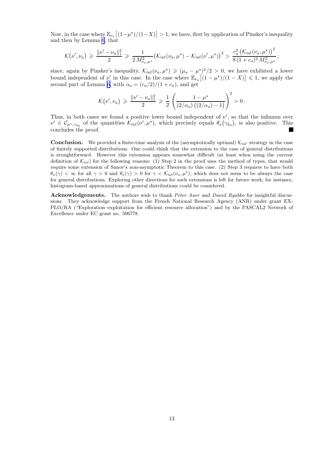Now, in the case where  $\mathbb{E}_{\nu_a}[(1-\mu^*)/(1-X)] > 1$ , we have, first by application of Pinsker's inequality and then by Lemma [6](#page-8-0), that

$$
\mathcal{K}(\nu', \nu_a) \geq \frac{\|\nu' - \nu_a\|_1^2}{2} \geq \frac{1}{2 M_{\nu_a, \mu^*}^2} \left(\mathcal{K}_{\text{inf}}(\nu_a, \mu^*) - \mathcal{K}_{\text{inf}}(\nu', \mu^*)\right)^2 > \frac{c_a^2 \left(\mathcal{K}_{\text{inf}}(\nu_a, \mu^*)\right)^2}{8 \left(1 + c_a\right)^2 M_{\nu_a, \mu^*}^2};
$$

since, again by Pinsker's inequality,  $\mathcal{K}_{\text{inf}}(\nu_a, \mu^*) \geqslant (\mu_a - \mu^*)^2/2 > 0$ , we have exhibited a lower bound independent of  $\nu'$  in this case. In the case where  $\mathbb{E}_{\nu_a}\left[(1-\mu^*)/(1-X)\right] \leq 1$ , we apply the second part of Lemma [6,](#page-8-0) with  $\alpha_a = \frac{c_a}{2}}{1 + c_a}$ , and get

$$
\mathcal{K}(\nu', \nu_a) \geq \frac{\|\nu' - \nu_a\|_1^2}{2} \geq \frac{1}{2} \left( \frac{1 - \mu^*}{(2/\alpha_a) ((2/\alpha_a) - 1)} \right)^2 > 0.
$$

Thus, in both cases we found a positive lower bound independent of  $\nu'$ , so that the infimum over  $\nu' \in C_{\mu^*, \gamma_{k_0}}$  of the quantities  $\mathcal{K}_{\rm inf}(\nu', \mu^*)$ , which precisely equals  $\theta_a(\gamma_{k_0})$ , is also positive. This concludes the proof.

**Conclusion.** We provided a finite-time analysis of the (asymptotically optimal)  $K_{\text{inf}}$ -strategy in the case of finitely supported distributions. One could think that the extension to the case of general distributions is straightforward. However this extension appears somewhat difficult (at least when using the current definition of  $\mathcal{K}_{\text{inf}}$ ) for the following reasons: (1) Step 2 in the proof uses the method of types, that would require some extension of Sanov's non-asymptotic Theorem to this case. (2) Step 3 requires to have both  $\theta_a(\gamma) < \infty$  for all  $\gamma > 0$  and  $\theta_a(\gamma) > 0$  for  $\gamma < \mathcal{K}_{\text{inf}}(\nu_a, \mu^{\star})$ , which does not seem to be always the case for general distributions. Exploring other directions for such extensions is left for future work; for instance, histogram-based approximations of general distributions could be considered.

Acknowledgements. The authors wish to thank Peter Auer and Daniil Ryabko for insightful discussions. They acknowledge support from the French National Research Agency (ANR) under grant EX-PLO/RA ("Exploration–exploitation for efficient resource allocation") and by the PASCAL2 Network of Excellence under EC grant no. 506778.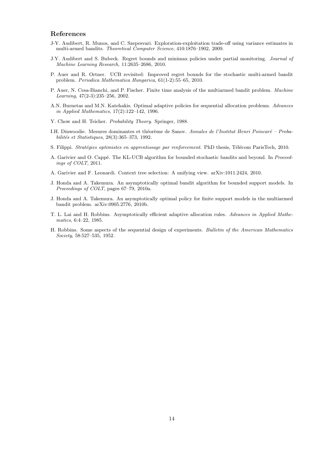#### <span id="page-14-0"></span>References

- J-Y. Audibert, R. Munos, and C. Szepesvari. Exploration-exploitation trade-off using variance estimates in multi-armed bandits. Theoretical Computer Science, 410:1876–1902, 2009.
- J.Y. Audibert and S. Bubeck. Regret bounds and minimax policies under partial monitoring. Journal of Machine Learning Research, 11:2635–2686, 2010.
- P. Auer and R. Ortner. UCB revisited: Improved regret bounds for the stochastic multi-armed bandit problem. Periodica Mathematica Hungarica, 61(1-2):55–65, 2010.
- P. Auer, N. Cesa-Bianchi, and P. Fischer. Finite time analysis of the multiarmed bandit problem. Machine Learning, 47(2-3):235–256, 2002.
- A.N. Burnetas and M.N. Katehakis. Optimal adaptive policies for sequential allocation problems. Advances in Applied Mathematics, 17(2):122–142, 1996.
- Y. Chow and H. Teicher. Probability Theory. Springer, 1988.
- I.H. Dinwoodie. Mesures dominantes et théorème de Sanov. Annales de l'Institut Henri Poincaré Proba $bili$ tés et Statistiques, 28(3):365–373, 1992.
- S. Filippi. Stratégies optimistes en apprentissage par renforcement. PhD thesis, Télécom ParisTech, 2010.
- A. Garivier and O. Cappé. The KL-UCB algorithm for bounded stochastic bandits and beyond. In Proceedings of COLT, 2011.
- A. Garivier and F. Leonardi. Context tree selection: A unifying view. arXiv:1011.2424, 2010.
- J. Honda and A. Takemura. An asymptotically optimal bandit algorithm for bounded support models. In Proceedings of COLT, pages 67–79, 2010a.
- J. Honda and A. Takemura. An asymptotically optimal policy for finite support models in the multiarmed bandit problem. arXiv:0905.2776, 2010b.
- T. L. Lai and H. Robbins. Asymptotically efficient adaptive allocation rules. Advances in Applied Mathematics, 6:4–22, 1985.
- H. Robbins. Some aspects of the sequential design of experiments. Bulletin of the American Mathematics Society, 58:527–535, 1952.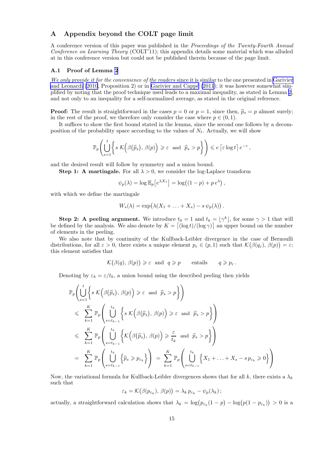## A Appendix beyond the COLT page limit

A conference version of this paper was published in the *Proceedings of the Twenty-Fourth Annual Conference on Learning Theory* (COLT'11); this appendix details some material which was alluded at in this conference version but could not be published therein because of the page limit.

#### A.1 Proof of Lemma [2](#page-4-0)

*We only provide it for the convenience of the readers* since it is similar to the one presented in [Garivier](#page-14-0) [and Leonardi \(2010](#page-14-0), Proposition 2) or in Garivier and Cappé (2011); it was however somewhat simplified by noting that the proof technique used leads to a maximal inequality, as stated in Lemma [2](#page-4-0), and not only to an inequality for a self-normalized average, as stated in the original reference.

**Proof:** The result is straightforward in the cases  $p = 0$  or  $p = 1$ , since then,  $\hat{p}_s = p$  almost surely; in the rest of the proof, we therefore only consider the case where  $p \in (0,1)$ .

It suffices to show the first bound stated in the lemma, since the second one follows by a decomposition of the probability space according to the values of  $N_t$ . Actually, we will show

$$
\mathbb{P}_p\Biggl(\bigcup_{s=1}^t \biggl\{s\; \mathcal{K}\Bigl(\beta\bigl(\widehat{p}_s\bigr),\,\beta(p)\Bigr)\geqslant \varepsilon \;\; \text{and} \;\; \widehat{p}_s>p\biggr\}\Biggr) \leqslant e\left\lceil \varepsilon \log t \right\rceil e^{-\varepsilon},
$$

and the desired result will follow by symmetry and a union bound.

**Step 1:** A martingale. For all  $\lambda > 0$ , we consider the log-Laplace transform

$$
\psi_p(\lambda) = \log \mathbb{E}_p \left[ e^{\lambda X_1} \right] = \log \left( (1 - p) + p e^{\lambda} \right),
$$

with which we define the martingale

$$
W_s(\lambda) = \exp(\lambda(X_1 + \ldots + X_s) - s\,\psi_p(\lambda)).
$$

**Step 2:** A peeling argument. We introduce  $t_0 = 1$  and  $t_k = \lfloor \gamma^k \rfloor$ , for some  $\gamma > 1$  that will be defined by the analysis. We also denote by  $K = \left[\frac{\log t}{\log \gamma}\right]$  an upper bound on the number of elements in the peeling.

We also note that by continuity of the Kullback-Leibler divergence in the case of Bernoulli distributions, for all  $\varepsilon > 0$ , there exists a unique element  $p_{\varepsilon} \in (p,1)$  such that  $\mathcal{K}(\beta(q_{\varepsilon}), \beta(p)) = \varepsilon$ ; this element satisfies that

$$
\mathcal{K}(\beta(q), \beta(p)) \geq \varepsilon
$$
 and  $q \geq p$  entails  $q \geq p_{\varepsilon}$ .

Denoting by  $\varepsilon_k = \varepsilon/t_k$ , a union bound using the described peeling then yields

$$
\mathbb{P}_{p}\left(\bigcup_{s=1}^{t} \left\{ s \mathcal{K}\left(\beta(\widehat{p}_{s}), \beta(p)\right) \geq \varepsilon \text{ and } \widehat{p}_{s} > p \right\}\right)
$$
\n
$$
\leqslant \sum_{k=1}^{K} \mathbb{P}_{p}\left(\bigcup_{s=t_{k-1}}^{t_{k}} \left\{ s \mathcal{K}\left(\beta(\widehat{p}_{s}), \beta(p)\right) \geq \varepsilon \text{ and } \widehat{p}_{s} > p \right\}\right)
$$
\n
$$
\leqslant \sum_{k=1}^{K} \mathbb{P}_{p}\left(\bigcup_{s=t_{k-1}}^{t_{k}} \left\{ \mathcal{K}\left(\beta(\widehat{p}_{s}), \beta(p)\right) \geqslant \frac{\varepsilon}{t_{k}} \text{ and } \widehat{p}_{s} > p \right\}\right)
$$
\n
$$
= \sum_{k=1}^{K} \mathbb{P}_{p}\left(\bigcup_{s=t_{k-1}}^{t_{k}} \left\{\widehat{p}_{s} \geqslant p_{\varepsilon_{k}}\right\}\right) = \sum_{k=1}^{K} \mathbb{P}_{p}\left(\bigcup_{s=t_{k-1}}^{t_{k}} \left\{ X_{1} + \ldots + X_{s} - s \, p_{\varepsilon_{k}} \geqslant 0 \right\}\right)
$$

Now, the variational formula for Kullback-Leibler divergences shows that for all k, there exists a  $\lambda_k$ such that

$$
\varepsilon_k = \mathcal{K}(\beta(p_{\varepsilon_k}), \beta(p)) = \lambda_k p_{\varepsilon_k} - \psi_p(\lambda_k);
$$

actually, a straightforward calculation shows that  $\lambda_k = \log(p_{\varepsilon_k}(1-p) - \log(p(1-p_{\varepsilon_k})) > 0$  is a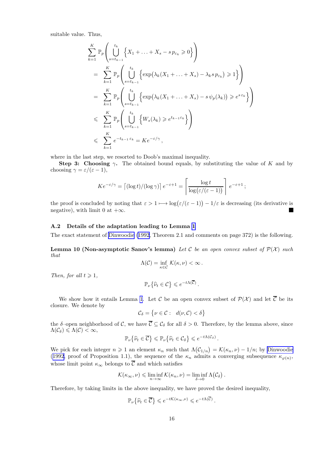suitable value. Thus,

$$
\sum_{k=1}^{K} \mathbb{P}_{p} \left( \bigcup_{s=t_{k-1}}^{t_{k}} \left\{ X_{1} + \ldots + X_{s} - s \, p_{\varepsilon_{k}} \geqslant 0 \right\} \right)
$$
\n
$$
= \sum_{k=1}^{K} \mathbb{P}_{p} \left( \bigcup_{s=t_{k-1}}^{t_{k}} \left\{ \exp \left( \lambda_{k} (X_{1} + \ldots + X_{s}) - \lambda_{k} s \, p_{\varepsilon_{k}} \right) \geqslant 1 \right\} \right)
$$
\n
$$
= \sum_{k=1}^{K} \mathbb{P}_{p} \left( \bigcup_{s=t_{k-1}}^{t_{k}} \left\{ \exp \left( \lambda_{k} (X_{1} + \ldots + X_{s}) - s \, \psi_{p}(\lambda_{k}) \right) \geqslant e^{s \, \varepsilon_{k}} \right\} \right)
$$
\n
$$
\leqslant \sum_{k=1}^{K} \mathbb{P}_{p} \left( \bigcup_{s=t_{k-1}}^{t_{k}} \left\{ W_{s}(\lambda_{k}) \geqslant e^{t_{k-1} \varepsilon_{k}} \right\} \right)
$$
\n
$$
\leqslant \sum_{k=1}^{K} e^{-t_{k-1} \varepsilon_{k}} = K e^{-\varepsilon/\gamma},
$$

where in the last step, we resorted to Doob's maximal inequality.

Step 3: Choosing  $\gamma$ . The obtained bound equals, by substituting the value of K and by choosing  $\gamma = \varepsilon/(\varepsilon - 1)$ ,

$$
Ke^{-\varepsilon/\gamma} = \left[ (\log t) / (\log \gamma) \right] e^{-\varepsilon + 1} = \left[ \frac{\log t}{\log(\varepsilon/(\varepsilon - 1))} \right] e^{-\varepsilon + 1};
$$

the proof is concluded by noting that  $\varepsilon > 1 \mapsto \log(\varepsilon/(\varepsilon - 1)) - 1/\varepsilon$  is decreasing (its derivative is negative), with limit 0 at  $+\infty$ .  $\blacksquare$ 

#### A.2 Details of the adaptation leading to Lemma [1](#page-3-0)

The exact statement of [Dinwoodie \(1992](#page-14-0), Theorem 2.1 and comments on page 372) is the following.

Lemma 10 (Non-asymptotic Sanov's lemma) *Let* C *be an open convex subset of* P(X) *such that*

$$
\Lambda(\mathcal{C}) = \inf_{\kappa \in \mathcal{C}} \mathcal{K}(\kappa, \nu) < \infty \, .
$$

*Then, for all*  $t \geq 1$ *,* 

$$
\mathbb{P}_{\nu}\left\{\widehat{\nu}_t\in\mathcal{C}\right\}\leqslant e^{-t\Lambda(\overline{\mathcal{C}})}.
$$

We show how it entails Lemma [1](#page-3-0). Let C be an open convex subset of  $\mathcal{P}(\mathcal{X})$  and let  $\overline{\mathcal{C}}$  be its closure. We denote by

$$
\mathcal{C}_{\delta} = \{ \nu \in \mathcal{C} : d(\nu, \mathcal{C}) < \delta \}
$$

the  $\delta$ -open neighborhood of C, we have  $\overline{\mathcal{C}} \subseteq \mathcal{C}_{\delta}$  for all  $\delta > 0$ . Therefore, by the lemma above, since  $\Lambda(\mathcal{C}_{\delta}) \leqslant \Lambda(\mathcal{C}) < \infty$ ,

$$
\mathbb{P}_{\nu}\left\{\widehat{\nu}_{t}\in\overline{\mathcal{C}}\right\}\leqslant\mathbb{P}_{\nu}\left\{\widehat{\nu}_{t}\in\mathcal{C}_{\delta}\right\}\leqslant e^{-t\Lambda(\mathcal{C}_{\delta})}.
$$

We pick for each integer  $n \geq 1$  an element  $\kappa_n$  such that  $\Lambda(\mathcal{C}_{1/n}) = \mathcal{K}(\kappa_n, \nu) - 1/n$ ; by [Dinwoodie](#page-14-0) ([1992,](#page-14-0) proof of Proposition 1.1), the sequence of the  $\kappa_n$  admits a converging subsequence  $\kappa_{\varphi(n)}$ , whose limit point  $\kappa_{\infty}$  belongs to  $\overline{\mathcal{C}}$  and which satisfies

$$
\mathcal{K}(\kappa_{\infty}, \nu) \leq \liminf_{n \to \infty} \mathcal{K}(\kappa_n, \nu) = \liminf_{\delta \to 0} \Lambda(\mathcal{C}_{\delta}).
$$

Therefore, by taking limits in the above inequality, we have proved the desired inequality,

$$
\mathbb{P}_{\nu}\left\{\widehat{\nu}_{t}\in\overline{\mathcal{C}}\right\}\leqslant e^{-t\mathcal{K}(\kappa_{\infty},\nu)}\leqslant e^{-t\Lambda(\overline{\mathcal{C}})}
$$

.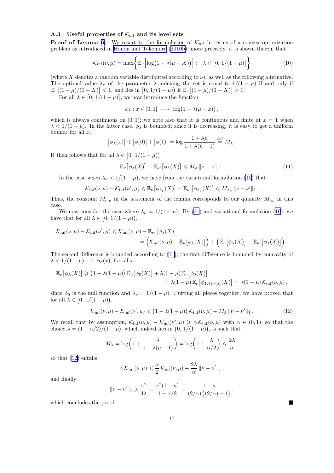## A.3 Useful properties of  $\mathcal{K}_{\text{inf}}$  and its level sets

**Proof of Lemma [6:](#page-8-0)** We resort to the formulation of  $K_{\text{inf}}$  in terms of a convex optimization problem as introduced in [Honda and Takemura \(2010b\)](#page-14-0); more precisely, it is shown therein that

$$
\mathcal{K}_{\rm inf}(\nu,\mu) = \max \bigg\{ \mathbb{E}_{\nu} \Big[ \log \big( 1 + \lambda(\mu - X) \big) \Big] : \quad \lambda \in \big[ 0, \, 1/(1 - \mu) \big] \bigg\}
$$
 (10)

(where X denotes a random variable distributed according to  $\nu$ ), as well as the following alternative. The optimal value  $\lambda_{\nu}$  of the parameter  $\lambda$  indexing the set is equal to  $1/(1 - \mu)$  if and only if  $\mathbb{E}_{\nu}[(1-\mu)/(1-X)] \leq 1$ , and lies in  $[0, 1/(1-\mu))$  if  $\mathbb{E}_{\nu}[(1-\mu)/(1-X)] > 1$ .

For all  $\lambda \in [0, 1/(1 - \mu)]$ , we now introduce the function

$$
\phi_{\lambda}: x \in [0,1] \ \longmapsto \ \log(1+\lambda(\mu-x)),
$$

which is always continuous on [0, 1); we note also that it is continuous and finite at  $x = 1$  when  $\lambda < 1/(1 - \mu)$ . In the latter case,  $\phi_{\lambda}$  is bounded; since it is decreasing, it is easy to get a uniform bound: for all  $x$ ,

$$
\left|\phi_{\lambda}(x)\right| \leqslant \left|\phi(0)\right| + \left|\phi(1)\right| = \log \frac{1 + \lambda\mu}{1 + \lambda(\mu - 1)} \stackrel{\text{def}}{=} M_{\lambda}.
$$

It then follows that for all  $\lambda \in [0, 1/(1 - \mu)),$ 

$$
\mathbb{E}_{\nu}\big[\phi_{\lambda}(X)\big] - \mathbb{E}_{\nu'}\big[\phi_{\lambda}(X)\big] \leqslant M_{\lambda} \|\nu - \nu'\|_{1}.
$$
 (11)

In the case when  $\lambda_{\nu} < 1/(1 - \mu)$ , we have from the variational formulation (10) that

$$
\mathcal{K}_{\text{inf}}(\nu,\mu)-\mathcal{K}_{\text{inf}}(\nu',\mu)\leqslant\mathbb{E}_{\nu}\big[\phi_{\lambda_{\nu}}(X)\big]-\mathbb{E}_{\nu'}\big[\phi_{\lambda_{\nu}}(X)\big]\leqslant M_{\lambda_{\nu}}\|\nu-\nu'\|_{1}.
$$

Thus, the constant  $M_{\nu,\mu}$  in the statement of the lemma corresponds to our quantity  $M_{\lambda_{\nu}}$  in this case.

We now consider the case where  $\lambda_{\nu} = 1/(1 - \mu)$ . By (11) and variational formulation (10), we have that for all  $\lambda \in [0, 1/(1 - \mu)),$ 

$$
\mathcal{K}_{\rm inf}(\nu,\mu) - \mathcal{K}_{\rm inf}(\nu',\mu) \leq \mathcal{K}_{\rm inf}(\nu,\mu) - \mathbb{E}_{\nu'}\big[\phi_{\lambda}(X)\big] \n= \Big(\mathcal{K}_{\rm inf}(\nu,\mu) - \mathbb{E}_{\nu}\big[\phi_{\lambda}(X)\big]\Big) + \Big(\mathbb{E}_{\nu}\big[\phi_{\lambda}(X)\big] - \mathbb{E}_{\nu'}\big[\phi_{\lambda}(X)\big]\Big).
$$

The second difference is bounded according to (11); the first difference is bounded by concavity of  $\lambda < 1/(1 - \mu) \mapsto \phi_{\lambda}(x)$ , for all x:

$$
\mathbb{E}_{\nu} [\phi_{\lambda}(X)] \geq (1 - \lambda(1 - \mu)) \mathbb{E}_{\nu} [\phi_0(X)] + \lambda(1 - \mu) \mathbb{E}_{\nu} [\phi_0(X)]
$$
  
=  $\lambda(1 - \mu) \mathbb{E}_{\nu} [\phi_{1/(1 - \mu)}(X)] = \lambda(1 - \mu) \mathcal{K}_{\text{inf}}(\nu, \mu),$ 

since  $\phi_0$  is the null function and  $\lambda_{\nu} = 1/(1 - \mu)$ . Putting all pieces together, we have proved that for all  $\lambda \in [0, 1/(1 - \mu)),$ 

$$
\mathcal{K}_{\text{inf}}(\nu,\mu) - \mathcal{K}_{\text{inf}}(\nu',\mu) \leq (1 - \lambda(1 - \mu)) \mathcal{K}_{\text{inf}}(\nu,\mu) + M_{\lambda} ||\nu - \nu'||_1. \tag{12}
$$

 $\blacksquare$ 

We recall that by assumption,  $\mathcal{K}_{\text{inf}}(\nu,\mu) - \mathcal{K}_{\text{inf}}(\nu',\mu) \ge \alpha \mathcal{K}_{\text{inf}}(\nu,\mu)$  with  $\alpha \in (0,1)$ , so that the choice  $\lambda = (1 - \alpha/2)/(1 - \mu)$ , which indeed lies in  $(0, 1/(1 - \mu))$ , is such that

$$
M_{\lambda} = \log \left( 1 + \frac{\lambda}{1 + \lambda(\mu - 1)} \right) = \log \left( 1 + \frac{\lambda}{\alpha/2} \right) \leq \frac{2\lambda}{\alpha},
$$

so that (12) entails

$$
\alpha \mathcal{K}_{\text{inf}}(\nu, \mu) \leq \frac{\alpha}{2} \mathcal{K}_{\text{inf}}(\nu, \mu) + \frac{2\lambda}{\alpha} ||\nu - \nu'||_1,
$$

and finally

$$
\|\nu - \nu'\|_1 \geqslant \frac{\alpha^2}{4\lambda} = \frac{\alpha^2(1-\mu)}{1-\alpha/2} = \frac{1-\mu}{(2/\alpha)\left((2/\alpha)-1\right)};
$$

which concludes the proof.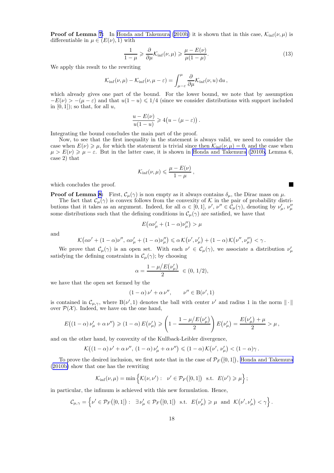**Proof of Lemma [7:](#page-8-0)** In [Honda and Takemura](#page-14-0) ([2010b](#page-14-0)) it is shown that in this case,  $\mathcal{K}_{\text{inf}}(\nu,\mu)$  is differentiable in  $\mu \in (E(\nu), 1)$  with

$$
\frac{1}{1-\mu} \geq \frac{\partial}{\partial \mu} \mathcal{K}_{\text{inf}}(\nu, \mu) \geq \frac{\mu - E(\nu)}{\mu(1-\mu)}.
$$
\n(13)

We apply this result to the rewriting

$$
\mathcal{K}_{\rm inf}(\nu,\mu) - \mathcal{K}_{\rm inf}(\nu,\mu-\varepsilon) = \int_{\mu-\varepsilon}^{\mu} \frac{\partial}{\partial \mu} \mathcal{K}_{\rm inf}(\nu,u) \, \mathrm{d}u \,,
$$

which already gives one part of the bound. For the lower bound, we note that by assumption  $-E(\nu) > -(\mu - \varepsilon)$  and that  $u(1 - u) \leq 1/4$  (since we consider distributions with support included in  $[0, 1]$ ; so that, for all  $u$ ,

$$
\frac{u - E(\nu)}{u(1 - u)} \geqslant 4(u - (\mu - \varepsilon)).
$$

Integrating the bound concludes the main part of the proof.

Now, to see that the first inequality in the statement is always valid, we need to consider the case when  $E(\nu) \geq \mu$ , for which the statement is trivial since then  $\mathcal{K}_{\text{inf}}(\nu, \mu) = 0$ , and the case when  $\mu > E(\nu) \geq \mu - \varepsilon$ . But in the latter case, it is shown in [Honda and Takemura \(2010b,](#page-14-0) Lemma 6, case 2) that

$$
\mathcal{K}_{\text{inf}}(\nu,\mu) \leqslant \frac{\mu - E(\nu)}{1 - \mu},
$$

which concludes the proof.

**Proof of Lemma [8](#page-9-0):** First,  $\mathcal{C}_{\mu}(\gamma)$  is non empty as it always contains  $\delta_{\mu}$ , the Dirac mass on  $\mu$ .

The fact that  $\mathcal{C}_{\mu}(\gamma)$  is convex follows from the convexity of K in the pair of probability distributions that it takes as an argument. Indeed, for all  $\alpha \in [0,1]$ ,  $\nu', \nu'' \in C_{\mu}(\gamma)$ , denoting by  $\nu'_{\mu}, \nu''_{\mu}$ some distributions such that the defining conditions in  $\mathcal{C}_{\mu}(\gamma)$  are satisfied, we have that

$$
E(\alpha\nu'_{\mu}+(1-\alpha)\nu''_{\mu})>\mu
$$

and

$$
\mathcal{K}\big(\alpha\nu'+(1-\alpha)\nu'',\,\alpha\nu_\mu'+(1-\alpha)\nu_\mu''\big)\leqslant \alpha\,\mathcal{K}\big(\nu',\nu_\mu'\big)+(1-\alpha)\,\mathcal{K}\big(\nu'',\nu_\mu''\big)<\gamma\,.
$$

We prove that  $\mathcal{C}_{\mu}(\gamma)$  is an open set. With each  $\nu' \in \mathcal{C}_{\mu}(\gamma)$ , we associate a distribution  $\nu'_{\mu}$ satisfying the defining constraints in  $\mathcal{C}_{\mu}(\gamma)$ ; by choosing

$$
\alpha = \frac{1 - \mu/E(\nu_{\mu}')}{2} \ \in (0, 1/2),
$$

we have that the open set formed by the

$$
(1 - \alpha) \nu' + \alpha \nu'', \qquad \nu'' \in B(\nu', 1)
$$

is contained in  $\mathcal{C}_{\mu,\gamma}$ , where  $B(\nu',1)$  denotes the ball with center  $\nu'$  and radius 1 in the norm  $\|\cdot\|$ over  $\mathcal{P}(\mathcal{X})$ . Indeed, we have on the one hand,

$$
E((1-\alpha)\nu_{\mu}^{\prime}+\alpha\nu^{\prime\prime}) \geq (1-\alpha) E(\nu_{\mu}^{\prime}) \geq (1-\frac{1-\mu/E(\nu_{\mu}^{\prime})}{2}) E(\nu_{\mu}^{\prime}) = \frac{E(\nu_{\mu}^{\prime})+\mu}{2} > \mu,
$$

and on the other hand, by convexity of the Kullback-Leibler divergence,

$$
\mathcal{K}\big((1-\alpha)\nu'+\alpha\nu'',\,(1-\alpha)\nu'_{\mu}+\alpha\nu''\big) \leqslant (1-\alpha)\,\mathcal{K}\big(\nu',\,\nu'_{\mu}\big) < (1-\alpha)\gamma\,.
$$

To prove the desired inclusion, we first note that in the case of  $\mathcal{P}_F([0,1])$ , [Honda and Takemura](#page-14-0) ([2010b\)](#page-14-0) show that one has the rewriting

$$
\mathcal{K}_{\text{inf}}(\nu,\mu) = \min \left\{ \mathcal{K}(\nu,\nu') : \nu' \in \mathcal{P}_F([0,1]) \text{ s.t. } E(\nu') \geq \mu \right\};
$$

in particular, the infimum is achieved with this new formulation. Hence,

$$
\mathcal{C}_{\mu,\gamma} = \left\{ \nu' \in \mathcal{P}_F([0,1]) : \exists \nu'_\mu \in \mathcal{P}_F([0,1]) \text{ s.t. } E(\nu'_\mu) \geqslant \mu \text{ and } \mathcal{K}(\nu',\nu'_\mu) < \gamma \right\}.
$$